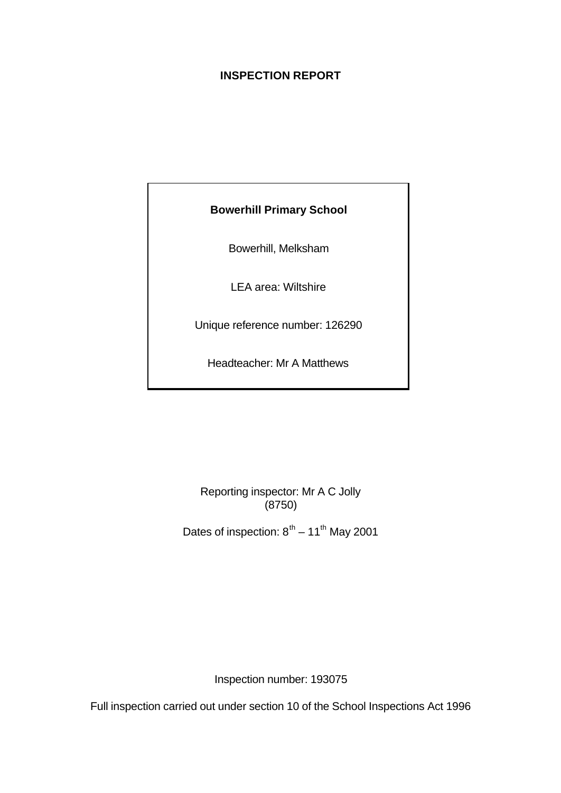# **INSPECTION REPORT**

# **Bowerhill Primary School**

Bowerhill, Melksham

LEA area: Wiltshire

Unique reference number: 126290

Headteacher: Mr A Matthews

Reporting inspector: Mr A C Jolly (8750)

Dates of inspection:  $8^{th}$  – 11<sup>th</sup> May 2001

Inspection number: 193075

Full inspection carried out under section 10 of the School Inspections Act 1996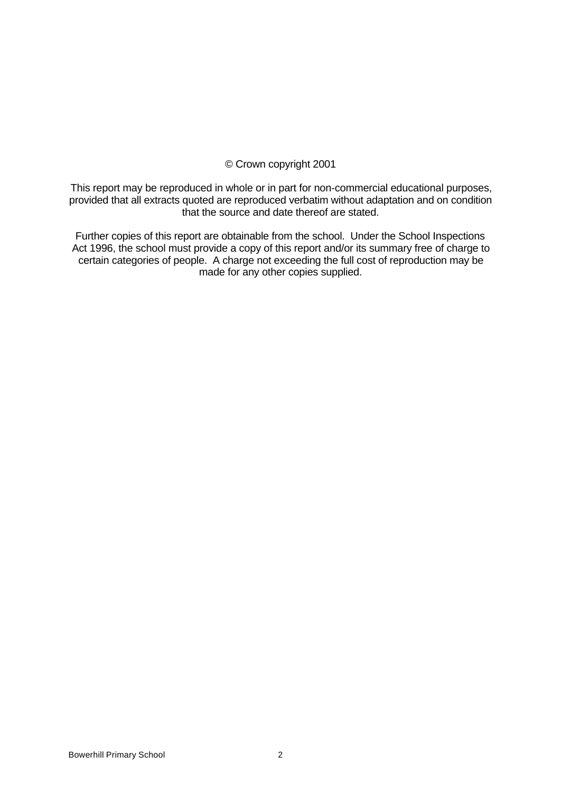# © Crown copyright 2001

This report may be reproduced in whole or in part for non-commercial educational purposes, provided that all extracts quoted are reproduced verbatim without adaptation and on condition that the source and date thereof are stated.

Further copies of this report are obtainable from the school. Under the School Inspections Act 1996, the school must provide a copy of this report and/or its summary free of charge to certain categories of people. A charge not exceeding the full cost of reproduction may be made for any other copies supplied.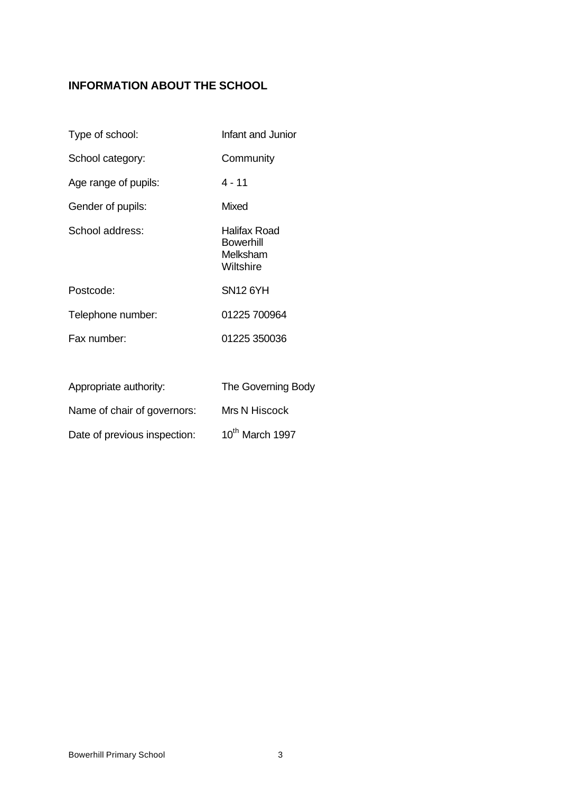# **INFORMATION ABOUT THE SCHOOL**

| Type of school:        | Infant and Junior                                         |
|------------------------|-----------------------------------------------------------|
| School category:       | Community                                                 |
| Age range of pupils:   | 4 - 11                                                    |
| Gender of pupils:      | Mixed                                                     |
| School address:        | Halifax Road<br><b>Bowerhill</b><br>Melksham<br>Wiltshire |
| Postcode:              | <b>SN12 6YH</b>                                           |
| Telephone number:      | 01225 700964                                              |
| Fax number:            | 01225 350036                                              |
| Appropriate authority: | The Governing Body                                        |

| Name of chair of governors: |
|-----------------------------|
|                             |

| Date of previous inspection: | 10th March 1997 |
|------------------------------|-----------------|
|------------------------------|-----------------|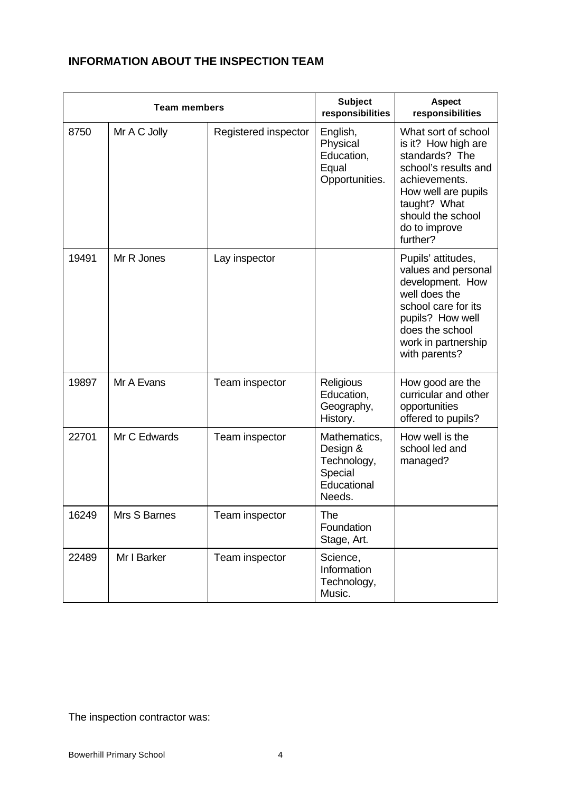# **INFORMATION ABOUT THE INSPECTION TEAM**

| <b>Team members</b> |              | <b>Subject</b><br>responsibilities | <b>Aspect</b><br>responsibilities                                           |                                                                                                                                                                                                |
|---------------------|--------------|------------------------------------|-----------------------------------------------------------------------------|------------------------------------------------------------------------------------------------------------------------------------------------------------------------------------------------|
| 8750                | Mr A C Jolly | Registered inspector               | English,<br>Physical<br>Education,<br>Equal<br>Opportunities.               | What sort of school<br>is it? How high are<br>standards? The<br>school's results and<br>achievements.<br>How well are pupils<br>taught? What<br>should the school<br>do to improve<br>further? |
| 19491               | Mr R Jones   | Lay inspector                      |                                                                             | Pupils' attitudes,<br>values and personal<br>development. How<br>well does the<br>school care for its<br>pupils? How well<br>does the school<br>work in partnership<br>with parents?           |
| 19897               | Mr A Evans   | Team inspector                     | Religious<br>Education,<br>Geography,<br>History.                           | How good are the<br>curricular and other<br>opportunities<br>offered to pupils?                                                                                                                |
| 22701               | Mr C Edwards | Team inspector                     | Mathematics,<br>Design &<br>Technology,<br>Special<br>Educational<br>Needs. | How well is the<br>school led and<br>managed?                                                                                                                                                  |
| 16249               | Mrs S Barnes | Team inspector                     | The<br>Foundation<br>Stage, Art.                                            |                                                                                                                                                                                                |
| 22489               | Mr I Barker  | Team inspector                     | Science,<br>Information<br>Technology,<br>Music.                            |                                                                                                                                                                                                |

The inspection contractor was: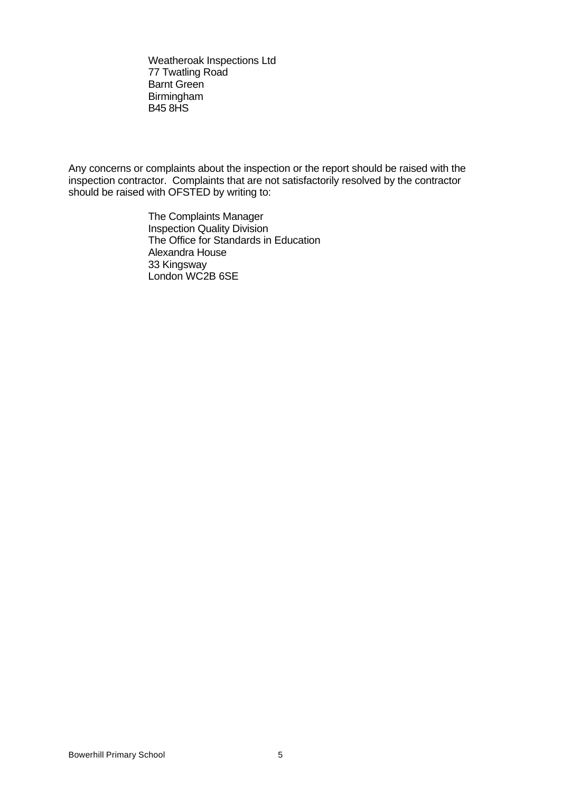Weatheroak Inspections Ltd 77 Twatling Road Barnt Green Birmingham B45 8HS

Any concerns or complaints about the inspection or the report should be raised with the inspection contractor. Complaints that are not satisfactorily resolved by the contractor should be raised with OFSTED by writing to:

> The Complaints Manager Inspection Quality Division The Office for Standards in Education Alexandra House 33 Kingsway London WC2B 6SE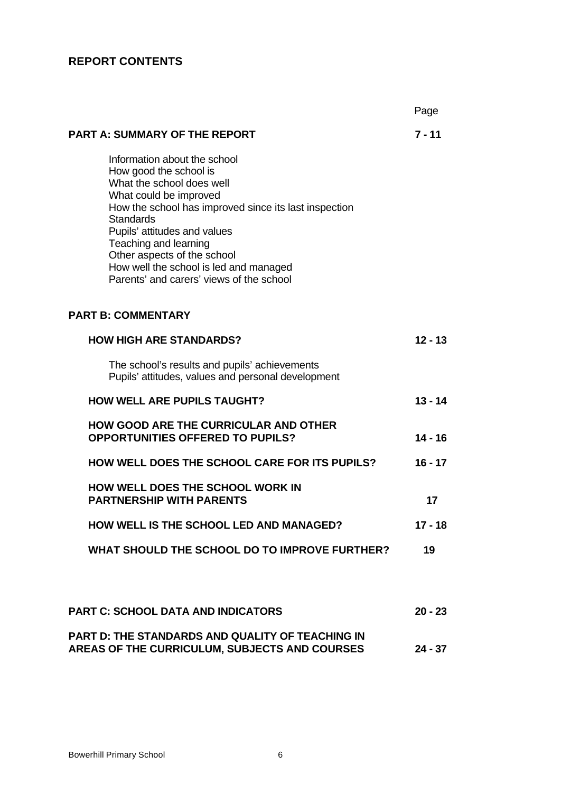# **REPORT CONTENTS**

|                                                                                                                                                                                                                                                                                                                                                                          | Page      |
|--------------------------------------------------------------------------------------------------------------------------------------------------------------------------------------------------------------------------------------------------------------------------------------------------------------------------------------------------------------------------|-----------|
| <b>PART A: SUMMARY OF THE REPORT</b>                                                                                                                                                                                                                                                                                                                                     | $7 - 11$  |
| Information about the school<br>How good the school is<br>What the school does well<br>What could be improved<br>How the school has improved since its last inspection<br><b>Standards</b><br>Pupils' attitudes and values<br>Teaching and learning<br>Other aspects of the school<br>How well the school is led and managed<br>Parents' and carers' views of the school |           |
| <b>PART B: COMMENTARY</b>                                                                                                                                                                                                                                                                                                                                                |           |
| <b>HOW HIGH ARE STANDARDS?</b>                                                                                                                                                                                                                                                                                                                                           | $12 - 13$ |
| The school's results and pupils' achievements<br>Pupils' attitudes, values and personal development                                                                                                                                                                                                                                                                      |           |
| <b>HOW WELL ARE PUPILS TAUGHT?</b>                                                                                                                                                                                                                                                                                                                                       | $13 - 14$ |
| <b>HOW GOOD ARE THE CURRICULAR AND OTHER</b><br><b>OPPORTUNITIES OFFERED TO PUPILS?</b>                                                                                                                                                                                                                                                                                  | $14 - 16$ |
| <b>HOW WELL DOES THE SCHOOL CARE FOR ITS PUPILS?</b>                                                                                                                                                                                                                                                                                                                     | $16 - 17$ |
| <b>HOW WELL DOES THE SCHOOL WORK IN</b><br><b>PARTNERSHIP WITH PARENTS</b>                                                                                                                                                                                                                                                                                               | 17        |
| <b>HOW WELL IS THE SCHOOL LED AND MANAGED?</b>                                                                                                                                                                                                                                                                                                                           | 17 - 18   |
| WHAT SHOULD THE SCHOOL DO TO IMPROVE FURTHER?                                                                                                                                                                                                                                                                                                                            | 19        |
|                                                                                                                                                                                                                                                                                                                                                                          |           |
| PART C: SCHOOL DATA AND INDICATORS                                                                                                                                                                                                                                                                                                                                       | $20 - 23$ |
| PART D: THE STANDARDS AND QUALITY OF TEACHING IN<br><b>AREAS OF THE CURRICULUM, SUBJECTS AND COURSES</b>                                                                                                                                                                                                                                                                 | $24 - 37$ |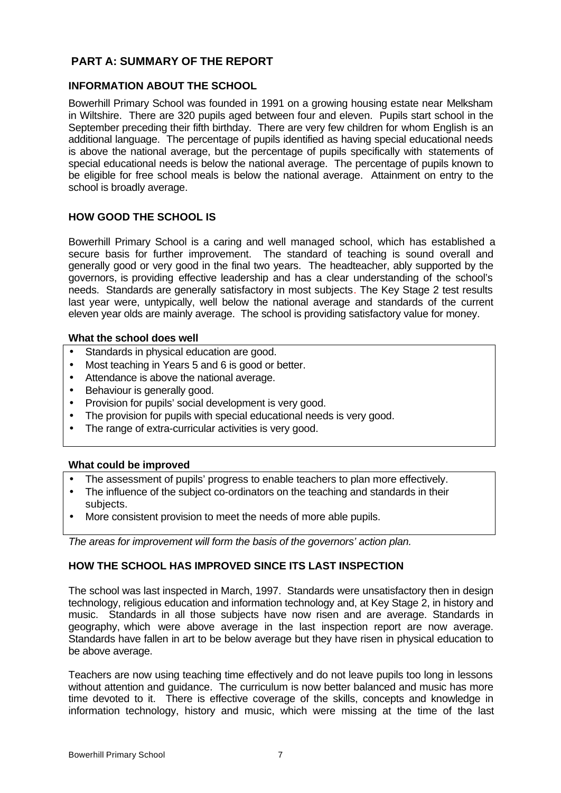# **PART A: SUMMARY OF THE REPORT**

## **INFORMATION ABOUT THE SCHOOL**

Bowerhill Primary School was founded in 1991 on a growing housing estate near Melksham in Wiltshire. There are 320 pupils aged between four and eleven. Pupils start school in the September preceding their fifth birthday. There are very few children for whom English is an additional language. The percentage of pupils identified as having special educational needs is above the national average, but the percentage of pupils specifically with statements of special educational needs is below the national average. The percentage of pupils known to be eligible for free school meals is below the national average. Attainment on entry to the school is broadly average.

# **HOW GOOD THE SCHOOL IS**

Bowerhill Primary School is a caring and well managed school, which has established a secure basis for further improvement. The standard of teaching is sound overall and generally good or very good in the final two years. The headteacher, ably supported by the governors, is providing effective leadership and has a clear understanding of the school's needs. Standards are generally satisfactory in most subjects. The Key Stage 2 test results last year were, untypically, well below the national average and standards of the current eleven year olds are mainly average. The school is providing satisfactory value for money.

#### **What the school does well**

- Standards in physical education are good.
- Most teaching in Years 5 and 6 is good or better.
- Attendance is above the national average.
- Behaviour is generally good.
- Provision for pupils' social development is very good.
- The provision for pupils with special educational needs is very good.
- The range of extra-curricular activities is very good.

#### **What could be improved**

- The assessment of pupils' progress to enable teachers to plan more effectively.
- The influence of the subject co-ordinators on the teaching and standards in their subjects.
- More consistent provision to meet the needs of more able pupils.

*The areas for improvement will form the basis of the governors' action plan.*

# **HOW THE SCHOOL HAS IMPROVED SINCE ITS LAST INSPECTION**

The school was last inspected in March, 1997. Standards were unsatisfactory then in design technology, religious education and information technology and, at Key Stage 2, in history and music. Standards in all those subjects have now risen and are average. Standards in geography, which were above average in the last inspection report are now average. Standards have fallen in art to be below average but they have risen in physical education to be above average.

Teachers are now using teaching time effectively and do not leave pupils too long in lessons without attention and quidance. The curriculum is now better balanced and music has more time devoted to it. There is effective coverage of the skills, concepts and knowledge in information technology, history and music, which were missing at the time of the last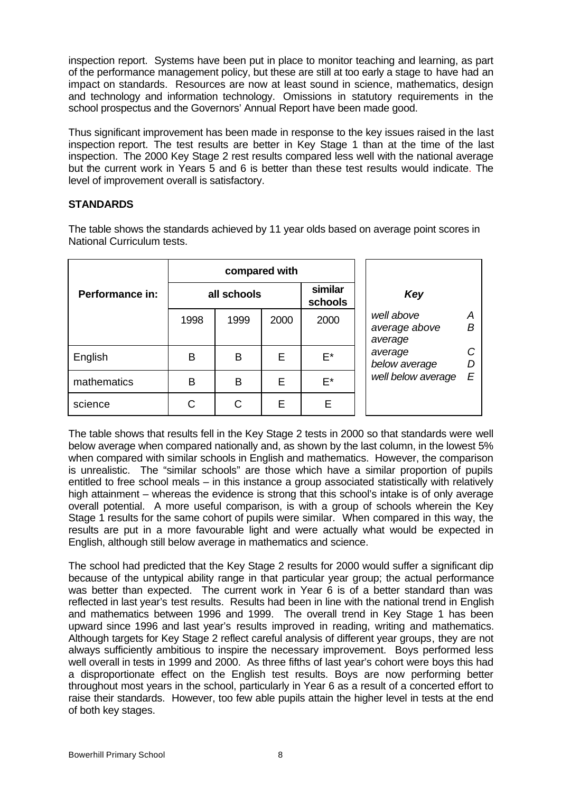inspection report. Systems have been put in place to monitor teaching and learning, as part of the performance management policy, but these are still at too early a stage to have had an impact on standards. Resources are now at least sound in science, mathematics, design and technology and information technology. Omissions in statutory requirements in the school prospectus and the Governors' Annual Report have been made good.

Thus significant improvement has been made in response to the key issues raised in the last inspection report. The test results are better in Key Stage 1 than at the time of the last inspection. The 2000 Key Stage 2 rest results compared less well with the national average but the current work in Years 5 and 6 is better than these test results would indicate. The level of improvement overall is satisfactory.

# **STANDARDS**

The table shows the standards achieved by 11 year olds based on average point scores in National Curriculum tests.

|                        | compared with |             |      |                    |                                                  |  |  |
|------------------------|---------------|-------------|------|--------------------|--------------------------------------------------|--|--|
| <b>Performance in:</b> |               | all schools |      | similar<br>schools | Key                                              |  |  |
|                        | 1998          | 1999        | 2000 | 2000               | well above<br>А<br>B<br>average above<br>average |  |  |
| English                | B             | B           | E    | E*                 | average<br>below average                         |  |  |
| mathematics            | B             | B           | E    | E*                 | well below average<br>E                          |  |  |
| science                | С             | С           | E    | Е                  |                                                  |  |  |

The table shows that results fell in the Key Stage 2 tests in 2000 so that standards were well below average when compared nationally and, as shown by the last column, in the lowest 5% when compared with similar schools in English and mathematics. However, the comparison is unrealistic. The "similar schools" are those which have a similar proportion of pupils entitled to free school meals – in this instance a group associated statistically with relatively high attainment – whereas the evidence is strong that this school's intake is of only average overall potential. A more useful comparison, is with a group of schools wherein the Key Stage 1 results for the same cohort of pupils were similar. When compared in this way, the results are put in a more favourable light and were actually what would be expected in English, although still below average in mathematics and science.

The school had predicted that the Key Stage 2 results for 2000 would suffer a significant dip because of the untypical ability range in that particular year group; the actual performance was better than expected. The current work in Year 6 is of a better standard than was reflected in last year's test results. Results had been in line with the national trend in English and mathematics between 1996 and 1999. The overall trend in Key Stage 1 has been upward since 1996 and last year's results improved in reading, writing and mathematics. Although targets for Key Stage 2 reflect careful analysis of different year groups, they are not always sufficiently ambitious to inspire the necessary improvement. Boys performed less well overall in tests in 1999 and 2000. As three fifths of last year's cohort were boys this had a disproportionate effect on the English test results. Boys are now performing better throughout most years in the school, particularly in Year 6 as a result of a concerted effort to raise their standards. However, too few able pupils attain the higher level in tests at the end of both key stages.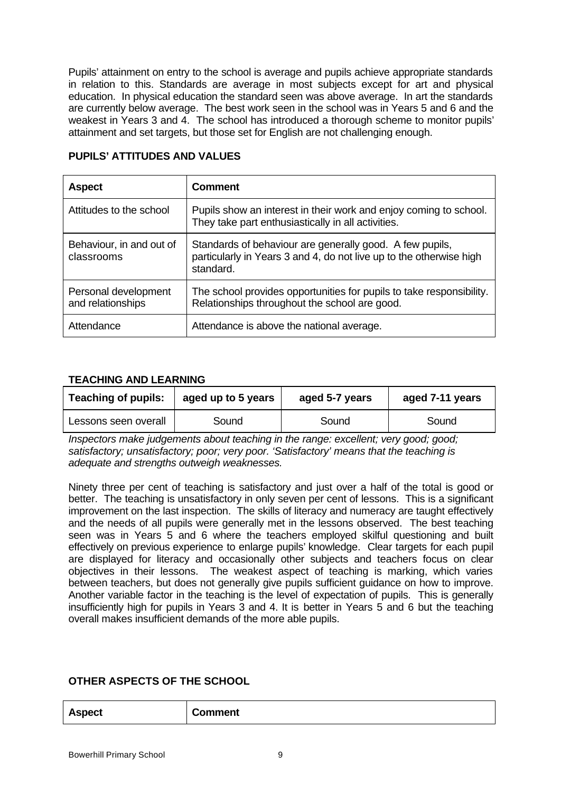Pupils' attainment on entry to the school is average and pupils achieve appropriate standards in relation to this. Standards are average in most subjects except for art and physical education. In physical education the standard seen was above average. In art the standards are currently below average. The best work seen in the school was in Years 5 and 6 and the weakest in Years 3 and 4. The school has introduced a thorough scheme to monitor pupils' attainment and set targets, but those set for English are not challenging enough.

| <b>Aspect</b>                             | <b>Comment</b>                                                                                                                               |
|-------------------------------------------|----------------------------------------------------------------------------------------------------------------------------------------------|
| Attitudes to the school                   | Pupils show an interest in their work and enjoy coming to school.<br>They take part enthusiastically in all activities.                      |
| Behaviour, in and out of<br>classrooms    | Standards of behaviour are generally good. A few pupils,<br>particularly in Years 3 and 4, do not live up to the otherwise high<br>standard. |
| Personal development<br>and relationships | The school provides opportunities for pupils to take responsibility.<br>Relationships throughout the school are good.                        |
| Attendance                                | Attendance is above the national average.                                                                                                    |

#### **PUPILS' ATTITUDES AND VALUES**

## **TEACHING AND LEARNING**

| <b>Teaching of pupils:</b><br>aged up to 5 years |       | aged 5-7 years | aged 7-11 years |
|--------------------------------------------------|-------|----------------|-----------------|
| Lessons seen overall                             | Sound | Sound          | Sound           |

*Inspectors make judgements about teaching in the range: excellent; very good; good; satisfactory; unsatisfactory; poor; very poor. 'Satisfactory' means that the teaching is adequate and strengths outweigh weaknesses.*

Ninety three per cent of teaching is satisfactory and just over a half of the total is good or better. The teaching is unsatisfactory in only seven per cent of lessons. This is a significant improvement on the last inspection. The skills of literacy and numeracy are taught effectively and the needs of all pupils were generally met in the lessons observed. The best teaching seen was in Years 5 and 6 where the teachers employed skilful questioning and built effectively on previous experience to enlarge pupils' knowledge. Clear targets for each pupil are displayed for literacy and occasionally other subjects and teachers focus on clear objectives in their lessons. The weakest aspect of teaching is marking, which varies between teachers, but does not generally give pupils sufficient guidance on how to improve. Another variable factor in the teaching is the level of expectation of pupils. This is generally insufficiently high for pupils in Years 3 and 4. It is better in Years 5 and 6 but the teaching overall makes insufficient demands of the more able pupils.

## **OTHER ASPECTS OF THE SCHOOL**

| <b>Aspect</b><br><b>Comment</b><br>________ |
|---------------------------------------------|
|---------------------------------------------|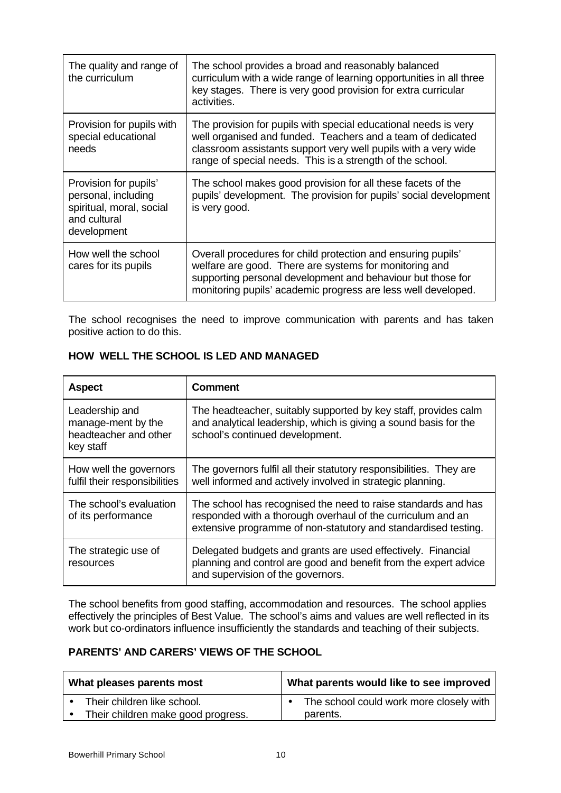| The quality and range of<br>the curriculum                                                              | The school provides a broad and reasonably balanced<br>curriculum with a wide range of learning opportunities in all three<br>key stages. There is very good provision for extra curricular<br>activities.                                                    |
|---------------------------------------------------------------------------------------------------------|---------------------------------------------------------------------------------------------------------------------------------------------------------------------------------------------------------------------------------------------------------------|
| Provision for pupils with<br>special educational<br>needs                                               | The provision for pupils with special educational needs is very<br>well organised and funded. Teachers and a team of dedicated<br>classroom assistants support very well pupils with a very wide<br>range of special needs. This is a strength of the school. |
| Provision for pupils'<br>personal, including<br>spiritual, moral, social<br>and cultural<br>development | The school makes good provision for all these facets of the<br>pupils' development. The provision for pupils' social development<br>is very good.                                                                                                             |
| How well the school<br>cares for its pupils                                                             | Overall procedures for child protection and ensuring pupils'<br>welfare are good. There are systems for monitoring and<br>supporting personal development and behaviour but those for<br>monitoring pupils' academic progress are less well developed.        |

The school recognises the need to improve communication with parents and has taken positive action to do this.

| <b>Aspect</b>                                                              | <b>Comment</b>                                                                                                                                                                                 |  |
|----------------------------------------------------------------------------|------------------------------------------------------------------------------------------------------------------------------------------------------------------------------------------------|--|
| Leadership and<br>manage-ment by the<br>headteacher and other<br>key staff | The headteacher, suitably supported by key staff, provides calm<br>and analytical leadership, which is giving a sound basis for the<br>school's continued development.                         |  |
| How well the governors<br>fulfil their responsibilities                    | The governors fulfil all their statutory responsibilities. They are<br>well informed and actively involved in strategic planning.                                                              |  |
| The school's evaluation<br>of its performance                              | The school has recognised the need to raise standards and has<br>responded with a thorough overhaul of the curriculum and an<br>extensive programme of non-statutory and standardised testing. |  |
| The strategic use of<br>resources                                          | Delegated budgets and grants are used effectively. Financial<br>planning and control are good and benefit from the expert advice<br>and supervision of the governors.                          |  |

## **HOW WELL THE SCHOOL IS LED AND MANAGED**

The school benefits from good staffing, accommodation and resources. The school applies effectively the principles of Best Value. The school's aims and values are well reflected in its work but co-ordinators influence insufficiently the standards and teaching of their subjects.

#### **PARENTS' AND CARERS' VIEWS OF THE SCHOOL**

| What pleases parents most |                                    | What parents would like to see improved |  |
|---------------------------|------------------------------------|-----------------------------------------|--|
|                           | Their children like school.        | The school could work more closely with |  |
|                           | Their children make good progress. | parents.                                |  |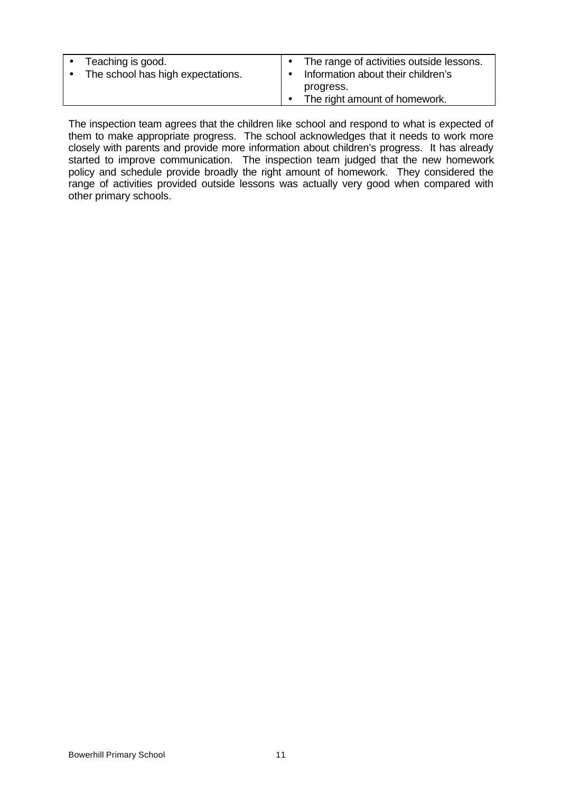| Teaching is good.                 | The range of activities outside lessons. |
|-----------------------------------|------------------------------------------|
| The school has high expectations. | Information about their children's       |
|                                   | progress.                                |
|                                   | The right amount of homework.            |
|                                   |                                          |

The inspection team agrees that the children like school and respond to what is expected of them to make appropriate progress. The school acknowledges that it needs to work more closely with parents and provide more information about children's progress. It has already started to improve communication. The inspection team judged that the new homework policy and schedule provide broadly the right amount of homework. They considered the range of activities provided outside lessons was actually very good when compared with other primary schools.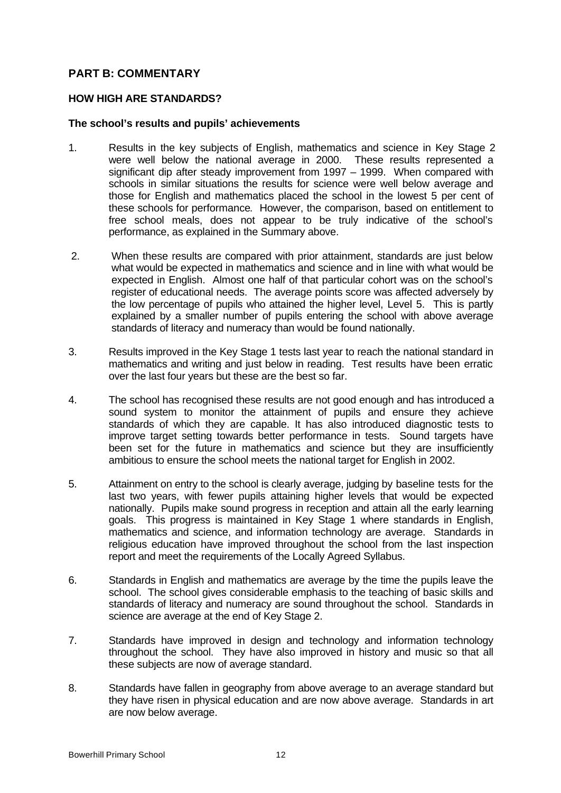## **PART B: COMMENTARY**

#### **HOW HIGH ARE STANDARDS?**

#### **The school's results and pupils' achievements**

- 1. Results in the key subjects of English, mathematics and science in Key Stage 2 were well below the national average in 2000. These results represented a significant dip after steady improvement from 1997 – 1999. When compared with schools in similar situations the results for science were well below average and those for English and mathematics placed the school in the lowest 5 per cent of these schools for performance. However, the comparison, based on entitlement to free school meals, does not appear to be truly indicative of the school's performance, as explained in the Summary above.
- 2. When these results are compared with prior attainment, standards are just below what would be expected in mathematics and science and in line with what would be expected in English. Almost one half of that particular cohort was on the school's register of educational needs. The average points score was affected adversely by the low percentage of pupils who attained the higher level, Level 5. This is partly explained by a smaller number of pupils entering the school with above average standards of literacy and numeracy than would be found nationally.
- 3. Results improved in the Key Stage 1 tests last year to reach the national standard in mathematics and writing and just below in reading. Test results have been erratic over the last four years but these are the best so far.
- 4. The school has recognised these results are not good enough and has introduced a sound system to monitor the attainment of pupils and ensure they achieve standards of which they are capable. It has also introduced diagnostic tests to improve target setting towards better performance in tests. Sound targets have been set for the future in mathematics and science but they are insufficiently ambitious to ensure the school meets the national target for English in 2002.
- 5. Attainment on entry to the school is clearly average, judging by baseline tests for the last two years, with fewer pupils attaining higher levels that would be expected nationally. Pupils make sound progress in reception and attain all the early learning goals. This progress is maintained in Key Stage 1 where standards in English, mathematics and science, and information technology are average. Standards in religious education have improved throughout the school from the last inspection report and meet the requirements of the Locally Agreed Syllabus.
- 6. Standards in English and mathematics are average by the time the pupils leave the school. The school gives considerable emphasis to the teaching of basic skills and standards of literacy and numeracy are sound throughout the school. Standards in science are average at the end of Key Stage 2.
- 7. Standards have improved in design and technology and information technology throughout the school. They have also improved in history and music so that all these subjects are now of average standard.
- 8. Standards have fallen in geography from above average to an average standard but they have risen in physical education and are now above average. Standards in art are now below average.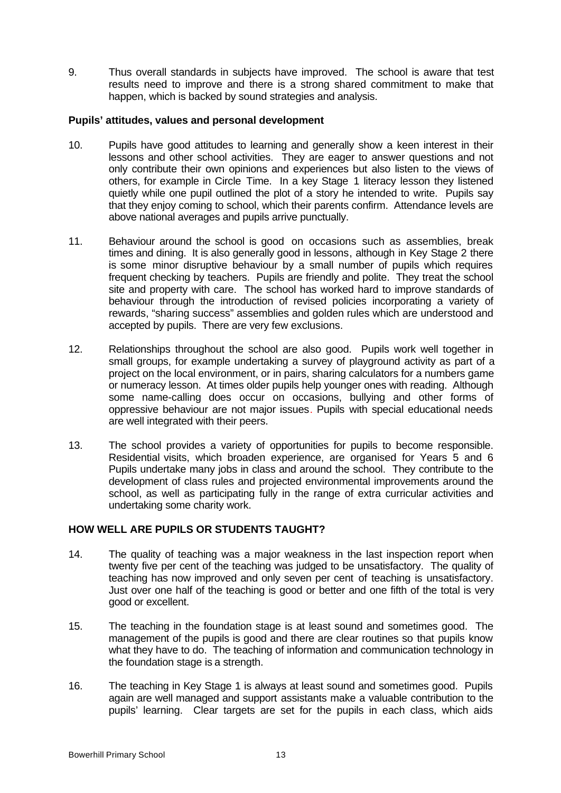9. Thus overall standards in subjects have improved. The school is aware that test results need to improve and there is a strong shared commitment to make that happen, which is backed by sound strategies and analysis.

#### **Pupils' attitudes, values and personal development**

- 10. Pupils have good attitudes to learning and generally show a keen interest in their lessons and other school activities. They are eager to answer questions and not only contribute their own opinions and experiences but also listen to the views of others, for example in Circle Time. In a key Stage 1 literacy lesson they listened quietly while one pupil outlined the plot of a story he intended to write. Pupils say that they enjoy coming to school, which their parents confirm. Attendance levels are above national averages and pupils arrive punctually.
- 11. Behaviour around the school is good on occasions such as assemblies, break times and dining. It is also generally good in lessons, although in Key Stage 2 there is some minor disruptive behaviour by a small number of pupils which requires frequent checking by teachers. Pupils are friendly and polite. They treat the school site and property with care. The school has worked hard to improve standards of behaviour through the introduction of revised policies incorporating a variety of rewards, "sharing success" assemblies and golden rules which are understood and accepted by pupils. There are very few exclusions.
- 12. Relationships throughout the school are also good. Pupils work well together in small groups, for example undertaking a survey of playground activity as part of a project on the local environment, or in pairs, sharing calculators for a numbers game or numeracy lesson. At times older pupils help younger ones with reading. Although some name-calling does occur on occasions, bullying and other forms of oppressive behaviour are not major issues. Pupils with special educational needs are well integrated with their peers.
- 13. The school provides a variety of opportunities for pupils to become responsible. Residential visits, which broaden experience, are organised for Years 5 and 6. Pupils undertake many jobs in class and around the school. They contribute to the development of class rules and projected environmental improvements around the school, as well as participating fully in the range of extra curricular activities and undertaking some charity work.

# **HOW WELL ARE PUPILS OR STUDENTS TAUGHT?**

- 14. The quality of teaching was a major weakness in the last inspection report when twenty five per cent of the teaching was judged to be unsatisfactory. The quality of teaching has now improved and only seven per cent of teaching is unsatisfactory. Just over one half of the teaching is good or better and one fifth of the total is very good or excellent.
- 15. The teaching in the foundation stage is at least sound and sometimes good. The management of the pupils is good and there are clear routines so that pupils know what they have to do. The teaching of information and communication technology in the foundation stage is a strength.
- 16. The teaching in Key Stage 1 is always at least sound and sometimes good. Pupils again are well managed and support assistants make a valuable contribution to the pupils' learning. Clear targets are set for the pupils in each class, which aids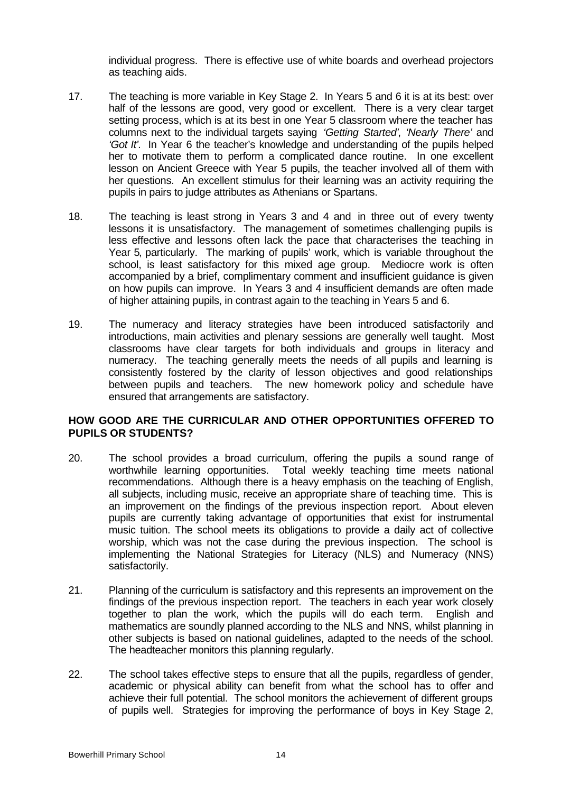individual progress. There is effective use of white boards and overhead projectors as teaching aids.

- 17. The teaching is more variable in Key Stage 2. In Years 5 and 6 it is at its best: over half of the lessons are good, very good or excellent. There is a very clear target setting process, which is at its best in one Year 5 classroom where the teacher has columns next to the individual targets saying *'Getting Started'*, *'Nearly There'* and *'Got It'.* In Year 6 the teacher's knowledge and understanding of the pupils helped her to motivate them to perform a complicated dance routine. In one excellent lesson on Ancient Greece with Year 5 pupils, the teacher involved all of them with her questions. An excellent stimulus for their learning was an activity requiring the pupils in pairs to judge attributes as Athenians or Spartans.
- 18. The teaching is least strong in Years 3 and 4 and in three out of every twenty lessons it is unsatisfactory. The management of sometimes challenging pupils is less effective and lessons often lack the pace that characterises the teaching in Year 5, particularly. The marking of pupils' work, which is variable throughout the school, is least satisfactory for this mixed age group. Mediocre work is often accompanied by a brief, complimentary comment and insufficient guidance is given on how pupils can improve. In Years 3 and 4 insufficient demands are often made of higher attaining pupils, in contrast again to the teaching in Years 5 and 6.
- 19. The numeracy and literacy strategies have been introduced satisfactorily and introductions, main activities and plenary sessions are generally well taught. Most classrooms have clear targets for both individuals and groups in literacy and numeracy. The teaching generally meets the needs of all pupils and learning is consistently fostered by the clarity of lesson objectives and good relationships between pupils and teachers. The new homework policy and schedule have ensured that arrangements are satisfactory.

## **HOW GOOD ARE THE CURRICULAR AND OTHER OPPORTUNITIES OFFERED TO PUPILS OR STUDENTS?**

- 20. The school provides a broad curriculum, offering the pupils a sound range of worthwhile learning opportunities. Total weekly teaching time meets national recommendations. Although there is a heavy emphasis on the teaching of English, all subjects, including music, receive an appropriate share of teaching time. This is an improvement on the findings of the previous inspection report. About eleven pupils are currently taking advantage of opportunities that exist for instrumental music tuition. The school meets its obligations to provide a daily act of collective worship, which was not the case during the previous inspection. The school is implementing the National Strategies for Literacy (NLS) and Numeracy (NNS) satisfactorily.
- 21. Planning of the curriculum is satisfactory and this represents an improvement on the findings of the previous inspection report. The teachers in each year work closely together to plan the work, which the pupils will do each term. English and mathematics are soundly planned according to the NLS and NNS, whilst planning in other subjects is based on national guidelines, adapted to the needs of the school. The headteacher monitors this planning regularly.
- 22. The school takes effective steps to ensure that all the pupils, regardless of gender, academic or physical ability can benefit from what the school has to offer and achieve their full potential. The school monitors the achievement of different groups of pupils well. Strategies for improving the performance of boys in Key Stage 2,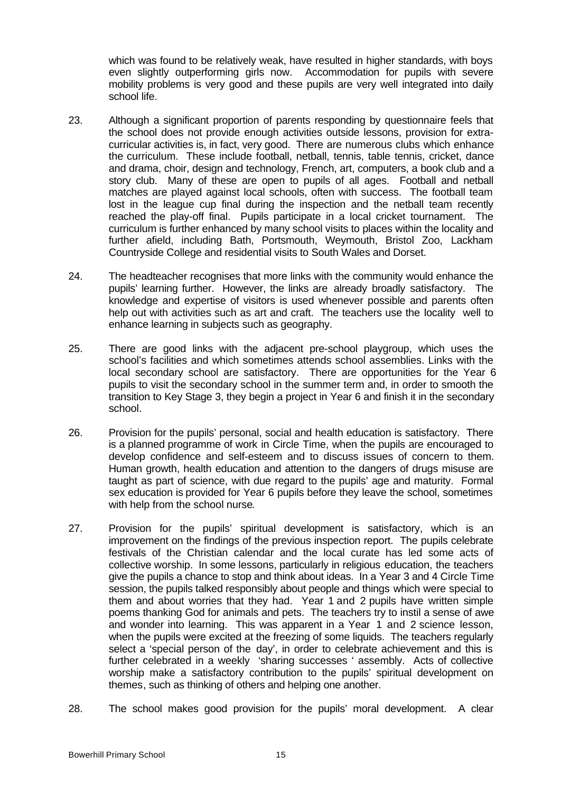which was found to be relatively weak, have resulted in higher standards, with boys even slightly outperforming girls now. Accommodation for pupils with severe mobility problems is very good and these pupils are very well integrated into daily school life.

- 23. Although a significant proportion of parents responding by questionnaire feels that the school does not provide enough activities outside lessons, provision for extracurricular activities is, in fact, very good. There are numerous clubs which enhance the curriculum. These include football, netball, tennis, table tennis, cricket, dance and drama, choir, design and technology, French, art, computers, a book club and a story club. Many of these are open to pupils of all ages. Football and netball matches are played against local schools, often with success. The football team lost in the league cup final during the inspection and the netball team recently reached the play-off final. Pupils participate in a local cricket tournament. The curriculum is further enhanced by many school visits to places within the locality and further afield, including Bath, Portsmouth, Weymouth, Bristol Zoo, Lackham Countryside College and residential visits to South Wales and Dorset.
- 24. The headteacher recognises that more links with the community would enhance the pupils' learning further. However, the links are already broadly satisfactory. The knowledge and expertise of visitors is used whenever possible and parents often help out with activities such as art and craft. The teachers use the locality well to enhance learning in subjects such as geography.
- 25. There are good links with the adjacent pre-school playgroup, which uses the school's facilities and which sometimes attends school assemblies. Links with the local secondary school are satisfactory. There are opportunities for the Year 6 pupils to visit the secondary school in the summer term and, in order to smooth the transition to Key Stage 3, they begin a project in Year 6 and finish it in the secondary school.
- 26. Provision for the pupils' personal, social and health education is satisfactory. There is a planned programme of work in Circle Time, when the pupils are encouraged to develop confidence and self-esteem and to discuss issues of concern to them. Human growth, health education and attention to the dangers of drugs misuse are taught as part of science, with due regard to the pupils' age and maturity. Formal sex education is provided for Year 6 pupils before they leave the school, sometimes with help from the school nurse.
- 27. Provision for the pupils' spiritual development is satisfactory, which is an improvement on the findings of the previous inspection report. The pupils celebrate festivals of the Christian calendar and the local curate has led some acts of collective worship. In some lessons, particularly in religious education, the teachers give the pupils a chance to stop and think about ideas. In a Year 3 and 4 Circle Time session, the pupils talked responsibly about people and things which were special to them and about worries that they had. Year 1 and 2 pupils have written simple poems thanking God for animals and pets. The teachers try to instil a sense of awe and wonder into learning. This was apparent in a Year 1 and 2 science lesson, when the pupils were excited at the freezing of some liquids. The teachers regularly select a 'special person of the day', in order to celebrate achievement and this is further celebrated in a weekly 'sharing successes ' assembly. Acts of collective worship make a satisfactory contribution to the pupils' spiritual development on themes, such as thinking of others and helping one another.
- 28. The school makes good provision for the pupils' moral development. A clear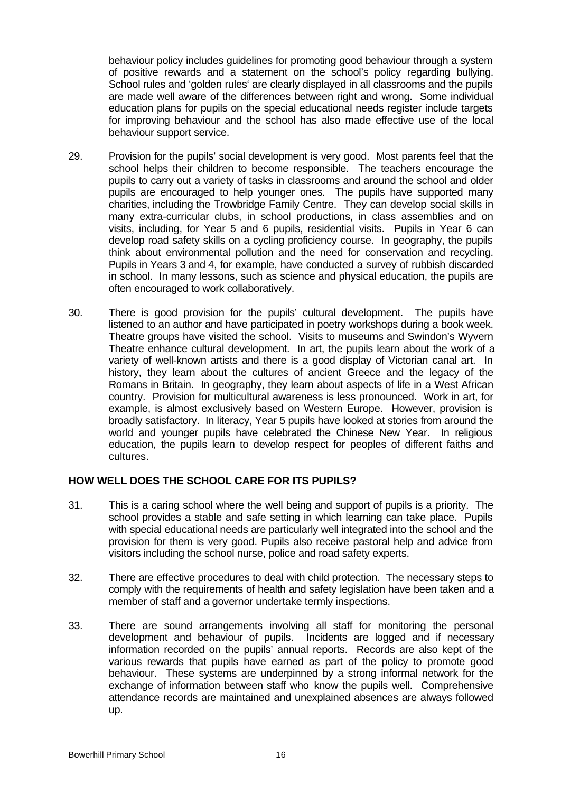behaviour policy includes guidelines for promoting good behaviour through a system of positive rewards and a statement on the school's policy regarding bullying. School rules and 'golden rules' are clearly displayed in all classrooms and the pupils are made well aware of the differences between right and wrong. Some individual education plans for pupils on the special educational needs register include targets for improving behaviour and the school has also made effective use of the local behaviour support service.

- 29. Provision for the pupils' social development is very good. Most parents feel that the school helps their children to become responsible. The teachers encourage the pupils to carry out a variety of tasks in classrooms and around the school and older pupils are encouraged to help younger ones. The pupils have supported many charities, including the Trowbridge Family Centre. They can develop social skills in many extra-curricular clubs, in school productions, in class assemblies and on visits, including, for Year 5 and 6 pupils, residential visits. Pupils in Year 6 can develop road safety skills on a cycling proficiency course. In geography, the pupils think about environmental pollution and the need for conservation and recycling. Pupils in Years 3 and 4, for example, have conducted a survey of rubbish discarded in school. In many lessons, such as science and physical education, the pupils are often encouraged to work collaboratively.
- 30. There is good provision for the pupils' cultural development. The pupils have listened to an author and have participated in poetry workshops during a book week. Theatre groups have visited the school. Visits to museums and Swindon's Wyvern Theatre enhance cultural development. In art, the pupils learn about the work of a variety of well-known artists and there is a good display of Victorian canal art. In history, they learn about the cultures of ancient Greece and the legacy of the Romans in Britain. In geography, they learn about aspects of life in a West African country. Provision for multicultural awareness is less pronounced. Work in art, for example, is almost exclusively based on Western Europe. However, provision is broadly satisfactory. In literacy, Year 5 pupils have looked at stories from around the world and younger pupils have celebrated the Chinese New Year. In religious education, the pupils learn to develop respect for peoples of different faiths and cultures.

#### **HOW WELL DOES THE SCHOOL CARE FOR ITS PUPILS?**

- 31. This is a caring school where the well being and support of pupils is a priority. The school provides a stable and safe setting in which learning can take place. Pupils with special educational needs are particularly well integrated into the school and the provision for them is very good. Pupils also receive pastoral help and advice from visitors including the school nurse, police and road safety experts.
- 32. There are effective procedures to deal with child protection. The necessary steps to comply with the requirements of health and safety legislation have been taken and a member of staff and a governor undertake termly inspections.
- 33. There are sound arrangements involving all staff for monitoring the personal development and behaviour of pupils. Incidents are logged and if necessary information recorded on the pupils' annual reports. Records are also kept of the various rewards that pupils have earned as part of the policy to promote good behaviour. These systems are underpinned by a strong informal network for the exchange of information between staff who know the pupils well. Comprehensive attendance records are maintained and unexplained absences are always followed up.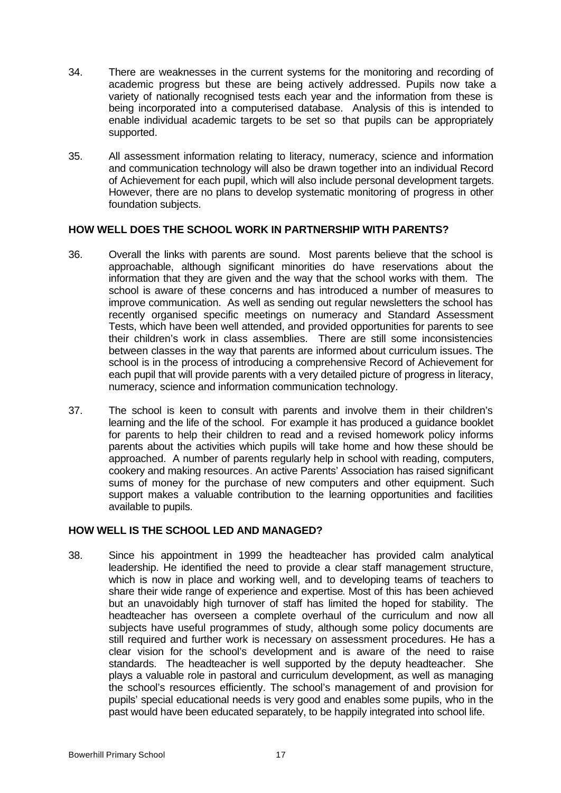- 34. There are weaknesses in the current systems for the monitoring and recording of academic progress but these are being actively addressed. Pupils now take a variety of nationally recognised tests each year and the information from these is being incorporated into a computerised database. Analysis of this is intended to enable individual academic targets to be set so that pupils can be appropriately supported.
- 35. All assessment information relating to literacy, numeracy, science and information and communication technology will also be drawn together into an individual Record of Achievement for each pupil, which will also include personal development targets. However, there are no plans to develop systematic monitoring of progress in other foundation subjects.

#### **HOW WELL DOES THE SCHOOL WORK IN PARTNERSHIP WITH PARENTS?**

- 36. Overall the links with parents are sound. Most parents believe that the school is approachable, although significant minorities do have reservations about the information that they are given and the way that the school works with them. The school is aware of these concerns and has introduced a number of measures to improve communication. As well as sending out regular newsletters the school has recently organised specific meetings on numeracy and Standard Assessment Tests, which have been well attended, and provided opportunities for parents to see their children's work in class assemblies. There are still some inconsistencies between classes in the way that parents are informed about curriculum issues. The school is in the process of introducing a comprehensive Record of Achievement for each pupil that will provide parents with a very detailed picture of progress in literacy, numeracy, science and information communication technology.
- 37. The school is keen to consult with parents and involve them in their children's learning and the life of the school. For example it has produced a guidance booklet for parents to help their children to read and a revised homework policy informs parents about the activities which pupils will take home and how these should be approached. A number of parents regularly help in school with reading, computers, cookery and making resources. An active Parents' Association has raised significant sums of money for the purchase of new computers and other equipment. Such support makes a valuable contribution to the learning opportunities and facilities available to pupils.

## **HOW WELL IS THE SCHOOL LED AND MANAGED?**

38. Since his appointment in 1999 the headteacher has provided calm analytical leadership. He identified the need to provide a clear staff management structure, which is now in place and working well, and to developing teams of teachers to share their wide range of experience and expertise. Most of this has been achieved but an unavoidably high turnover of staff has limited the hoped for stability. The headteacher has overseen a complete overhaul of the curriculum and now all subjects have useful programmes of study, although some policy documents are still required and further work is necessary on assessment procedures. He has a clear vision for the school's development and is aware of the need to raise standards. The headteacher is well supported by the deputy headteacher. She plays a valuable role in pastoral and curriculum development, as well as managing the school's resources efficiently. The school's management of and provision for pupils' special educational needs is very good and enables some pupils, who in the past would have been educated separately, to be happily integrated into school life.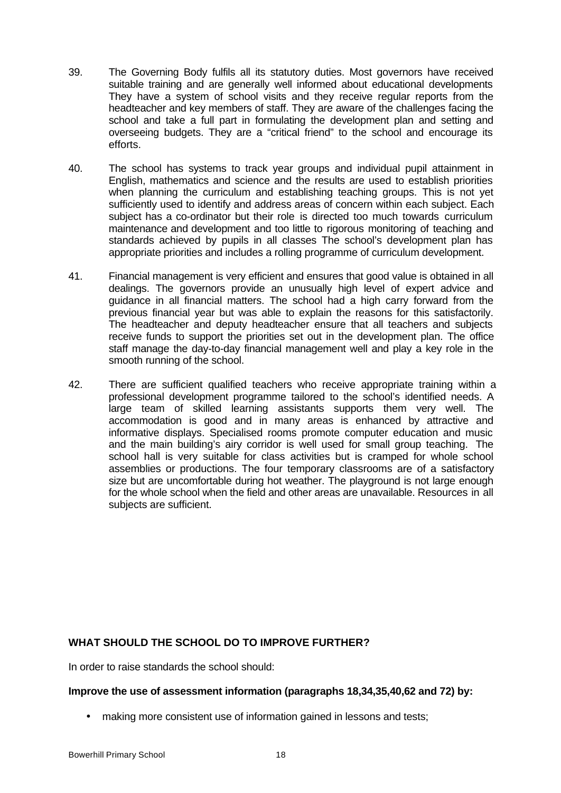- 39. The Governing Body fulfils all its statutory duties. Most governors have received suitable training and are generally well informed about educational developments They have a system of school visits and they receive regular reports from the headteacher and key members of staff. They are aware of the challenges facing the school and take a full part in formulating the development plan and setting and overseeing budgets. They are a "critical friend" to the school and encourage its efforts.
- 40. The school has systems to track year groups and individual pupil attainment in English, mathematics and science and the results are used to establish priorities when planning the curriculum and establishing teaching groups. This is not yet sufficiently used to identify and address areas of concern within each subject. Each subject has a co-ordinator but their role is directed too much towards curriculum maintenance and development and too little to rigorous monitoring of teaching and standards achieved by pupils in all classes The school's development plan has appropriate priorities and includes a rolling programme of curriculum development.
- 41. Financial management is very efficient and ensures that good value is obtained in all dealings. The governors provide an unusually high level of expert advice and guidance in all financial matters. The school had a high carry forward from the previous financial year but was able to explain the reasons for this satisfactorily. The headteacher and deputy headteacher ensure that all teachers and subjects receive funds to support the priorities set out in the development plan. The office staff manage the day-to-day financial management well and play a key role in the smooth running of the school.
- 42. There are sufficient qualified teachers who receive appropriate training within a professional development programme tailored to the school's identified needs. A large team of skilled learning assistants supports them very well. The accommodation is good and in many areas is enhanced by attractive and informative displays. Specialised rooms promote computer education and music and the main building's airy corridor is well used for small group teaching. The school hall is very suitable for class activities but is cramped for whole school assemblies or productions. The four temporary classrooms are of a satisfactory size but are uncomfortable during hot weather. The playground is not large enough for the whole school when the field and other areas are unavailable. Resources in all subjects are sufficient.

# **WHAT SHOULD THE SCHOOL DO TO IMPROVE FURTHER?**

In order to raise standards the school should:

#### **Improve the use of assessment information (paragraphs 18,34,35,40,62 and 72) by:**

• making more consistent use of information gained in lessons and tests;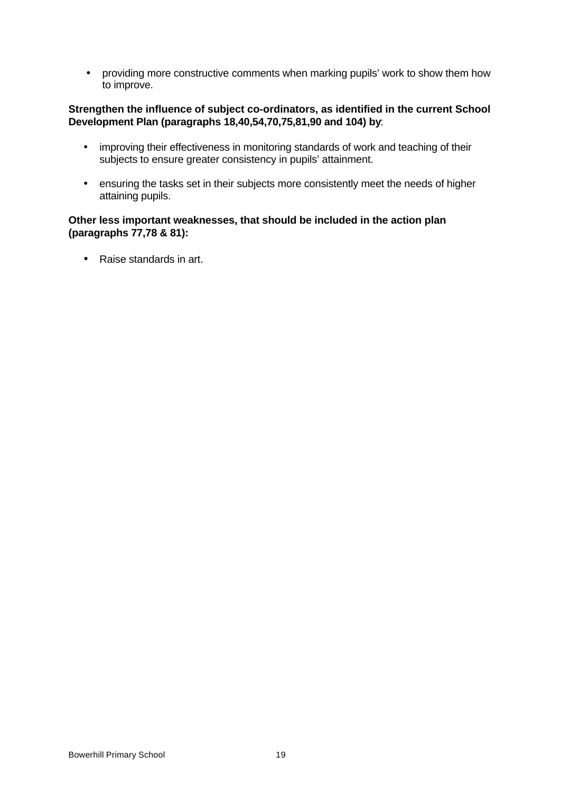• providing more constructive comments when marking pupils' work to show them how to improve.

## **Strengthen the influence of subject co-ordinators, as identified in the current School Development Plan (paragraphs 18,40,54,70,75,81,90 and 104) by**:

- improving their effectiveness in monitoring standards of work and teaching of their subjects to ensure greater consistency in pupils' attainment.
- ensuring the tasks set in their subjects more consistently meet the needs of higher attaining pupils.

#### **Other less important weaknesses, that should be included in the action plan (paragraphs 77,78 & 81):**

• Raise standards in art.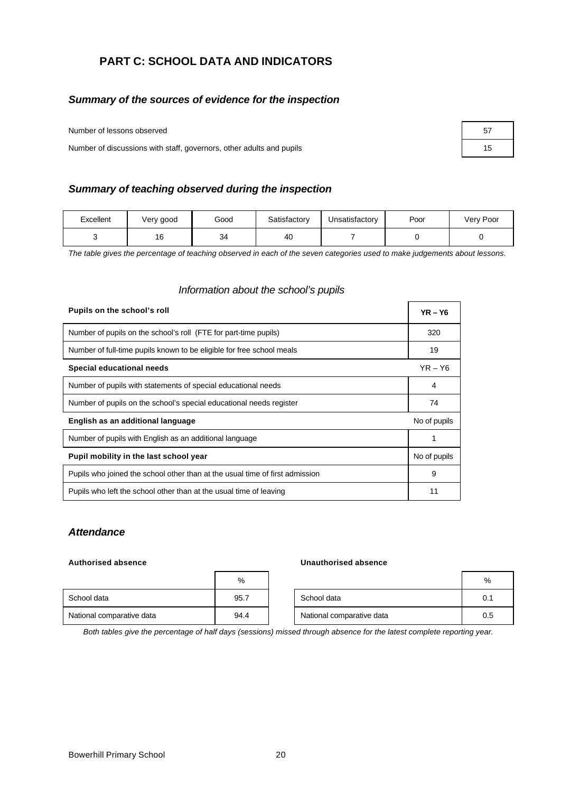# **PART C: SCHOOL DATA AND INDICATORS**

# *Summary of the sources of evidence for the inspection*

Number of lessons observed **57** and 57 and 57 and 57 and 57 and 57 and 57 and 57 and 57 and 57 and 57 and 57 and 57 and 57 and 57 and 57 and 57 and 57 and 57 and 57 and 57 and 57 and 57 and 57 and 57 and 57 and 57 and 57 a

Number of discussions with staff, governors, other adults and pupils 15

#### *Summary of teaching observed during the inspection*

| Excellent | Very good | Good | Satisfactory | Unsatisfactory | Poor | Very Poor |
|-----------|-----------|------|--------------|----------------|------|-----------|
|           | 16        | 34   | 40           |                |      |           |

*The table gives the percentage of teaching observed in each of the seven categories used to make judgements about lessons.*

#### *Information about the school's pupils*

| Pupils on the school's roll                                                  |              |  |  |
|------------------------------------------------------------------------------|--------------|--|--|
| Number of pupils on the school's roll (FTE for part-time pupils)             | 320          |  |  |
| Number of full-time pupils known to be eligible for free school meals        | 19           |  |  |
| Special educational needs                                                    | $YR - Y6$    |  |  |
| Number of pupils with statements of special educational needs                | 4            |  |  |
| Number of pupils on the school's special educational needs register          | 74           |  |  |
| English as an additional language                                            | No of pupils |  |  |
| Number of pupils with English as an additional language                      |              |  |  |
| Pupil mobility in the last school year                                       | No of pupils |  |  |
| Pupils who joined the school other than at the usual time of first admission | 9            |  |  |
| Pupils who left the school other than at the usual time of leaving           | 11           |  |  |

#### *Attendance*

#### **Authorised absence Unauthorised absence**

|                           | %    |                           | %   |
|---------------------------|------|---------------------------|-----|
| School data               | 95.7 | School data               | 0.1 |
| National comparative data | 94.4 | National comparative data | 0.5 |

*Both tables give the percentage of half days (sessions) missed through absence for the latest complete reporting year.*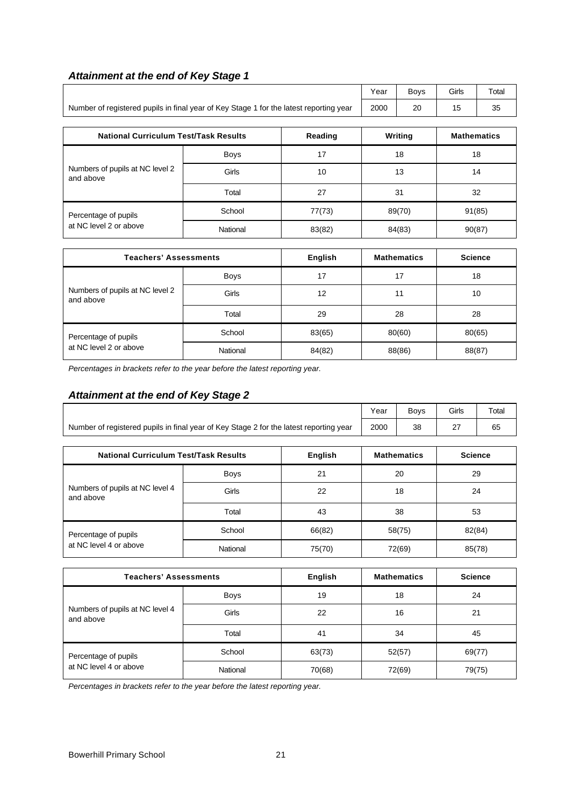| <b>Attainment at the end of Key Stage 1</b> |  |  |  |  |  |  |  |
|---------------------------------------------|--|--|--|--|--|--|--|
|---------------------------------------------|--|--|--|--|--|--|--|

|                                                                                        |             |                | Year             | Boys               | Girls | Total              |
|----------------------------------------------------------------------------------------|-------------|----------------|------------------|--------------------|-------|--------------------|
| Number of registered pupils in final year of Key Stage 1 for the latest reporting year |             |                |                  | 20                 | 15    | 35                 |
| <b>National Curriculum Test/Task Results</b>                                           |             | Reading        |                  | Writing            |       | <b>Mathematics</b> |
|                                                                                        | <b>Boys</b> | 17             |                  | 18                 |       | 18                 |
| Numbers of pupils at NC level 2<br>and above                                           | Girls       | 10             |                  | 13                 |       | 14                 |
|                                                                                        | Total       | 27             |                  | 31                 | 32    |                    |
| Percentage of pupils                                                                   | School      | 77(73)         | 89(70)           |                    |       | 91(85)             |
| at NC level 2 or above                                                                 | National    | 83(82)         | 84(83)<br>90(87) |                    |       |                    |
| <b>Teachers' Assessments</b>                                                           |             | <b>English</b> |                  | <b>Mathematics</b> |       | <b>Science</b>     |
|                                                                                        |             |                |                  |                    |       |                    |
|                                                                                        | <b>Boys</b> | 17             |                  | 17                 |       | 18                 |
| Numbers of pupils at NC level 2<br>and above                                           | Girls       | 12             |                  | 11                 |       | 10                 |
|                                                                                        | Total       | 29             |                  | 28                 |       | 28                 |

*Percentages in brackets refer to the year before the latest reporting year.*

## *Attainment at the end of Key Stage 2*

|                                                                                        | Year | <b>Bovs</b> | Girls              | Total |
|----------------------------------------------------------------------------------------|------|-------------|--------------------|-------|
| Number of registered pupils in final year of Key Stage 2 for the latest reporting year | 2000 | 38          | $\sim$<br><u>.</u> | 65    |

Percentage of pupils **School** 83(65) 80(60) 80(65) at NC level 2 or above National 84(82) 88(86) 88(87)

| <b>National Curriculum Test/Task Results</b> |          | English | <b>Mathematics</b> | <b>Science</b> |
|----------------------------------------------|----------|---------|--------------------|----------------|
| Numbers of pupils at NC level 4<br>and above | Boys     | 21      | 20                 | 29             |
|                                              | Girls    | 22      | 18                 | 24             |
|                                              | Total    | 43      | 38                 | 53             |
| Percentage of pupils                         | School   | 66(82)  | 58(75)             | 82(84)         |
| at NC level 4 or above                       | National | 75(70)  | 72(69)             | 85(78)         |

| <b>Teachers' Assessments</b>                 |             | English | <b>Mathematics</b> | <b>Science</b> |
|----------------------------------------------|-------------|---------|--------------------|----------------|
|                                              | <b>Boys</b> | 19      | 18                 | 24             |
| Numbers of pupils at NC level 4<br>and above | Girls       | 22      | 16                 | 21             |
|                                              | Total       | 41      | 34                 | 45             |
| Percentage of pupils                         | School      | 63(73)  | 52(57)             | 69(77)         |
| at NC level 4 or above                       | National    | 70(68)  | 72(69)             | 79(75)         |

*Percentages in brackets refer to the year before the latest reporting year.*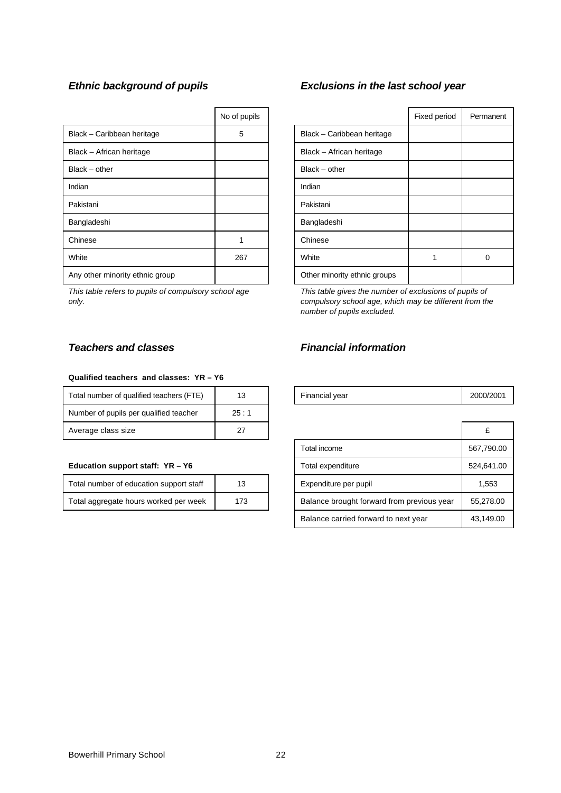|                                 | No of pupils |                              | Fixed period | Perma |
|---------------------------------|--------------|------------------------------|--------------|-------|
| Black - Caribbean heritage      | 5            | Black - Caribbean heritage   |              |       |
| Black - African heritage        |              | Black - African heritage     |              |       |
| $Black - other$                 |              | $Black - other$              |              |       |
| Indian                          |              | Indian                       |              |       |
| Pakistani                       |              | Pakistani                    |              |       |
| Bangladeshi                     |              | Bangladeshi                  |              |       |
| Chinese                         |              | Chinese                      |              |       |
| White                           | 267          | White                        |              | 0     |
| Any other minority ethnic group |              | Other minority ethnic groups |              |       |

*This table refers to pupils of compulsory school age only.*

#### **Qualified teachers and classes: YR – Y6**

| Total number of qualified teachers (FTE) |      | Financial year | 2000/        |
|------------------------------------------|------|----------------|--------------|
| Number of pupils per qualified teacher   | 25:1 |                |              |
| Average class size                       | 27   |                | $\mathbf{C}$ |

#### **Education support staff: YR - Y6**

| Total number of education support staff | 13  |
|-----------------------------------------|-----|
| Total aggregate hours worked per week   | 173 |

# *Ethnic background of pupils Exclusions in the last school year*

| No of pupils |                              | Fixed period | Permanent |
|--------------|------------------------------|--------------|-----------|
| 5            | Black - Caribbean heritage   |              |           |
|              | Black - African heritage     |              |           |
|              | Black - other                |              |           |
|              | Indian                       |              |           |
|              | Pakistani                    |              |           |
|              | Bangladeshi                  |              |           |
|              | Chinese                      |              |           |
| 267          | White                        |              | n         |
|              | Other minority ethnic groups |              |           |

*This table gives the number of exclusions of pupils of compulsory school age, which may be different from the number of pupils excluded.*

# *Teachers and classes Financial information*

| 1.00<br>-----<br>Гоtal<br>l number<br>aualitied teachers<br>0t<br>$\vdash$<br>. . | ۰.<br>$\sim$ |  | Financial vear | 2000/2001 |
|-----------------------------------------------------------------------------------|--------------|--|----------------|-----------|
|-----------------------------------------------------------------------------------|--------------|--|----------------|-----------|

| Average class size                           | 27 |  |                                            |            |
|----------------------------------------------|----|--|--------------------------------------------|------------|
|                                              |    |  | Total income                               | 567,790.00 |
| Education support staff: YR - Y6             |    |  | Total expenditure                          | 524,641.00 |
| Total number of education support staff      | 13 |  | Expenditure per pupil                      | 1,553      |
| Total aggregate hours worked per week<br>173 |    |  | Balance brought forward from previous year | 55,278.00  |
|                                              |    |  | Balance carried forward to next year       | 43,149.00  |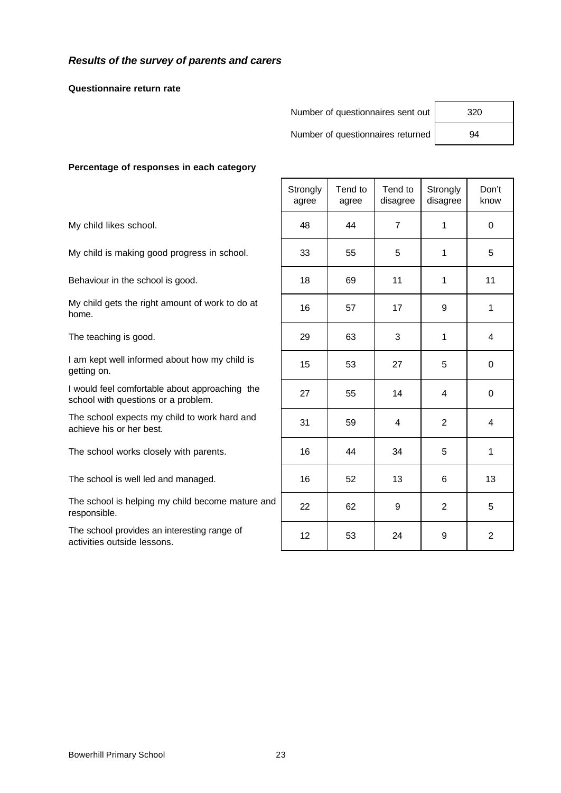#### *Results of the survey of parents and carers*

**Questionnaire return rate**

Number of questionnaires sent out 320

Number of questionnaires returned | 94

#### **Percentage of responses in each category**

|                                                                                       | Strongly<br>agree | Tend to<br>agree | Tend to<br>disagree | Strongly<br>disagree | Don't<br>know  |
|---------------------------------------------------------------------------------------|-------------------|------------------|---------------------|----------------------|----------------|
| My child likes school.                                                                | 48                | 44               | $\overline{7}$      | 1                    | $\mathbf 0$    |
| My child is making good progress in school.                                           | 33                | 55               | 5                   | 1                    | 5              |
| Behaviour in the school is good.                                                      | 18                | 69               | 11                  | 1                    | 11             |
| My child gets the right amount of work to do at<br>home.                              | 16                | 57               | 17                  | 9                    | 1              |
| The teaching is good.                                                                 | 29                | 63               | 3                   | 1                    | 4              |
| I am kept well informed about how my child is<br>getting on.                          | 15                | 53               | 27                  | 5                    | $\mathbf 0$    |
| I would feel comfortable about approaching the<br>school with questions or a problem. | 27                | 55               | 14                  | 4                    | $\mathbf 0$    |
| The school expects my child to work hard and<br>achieve his or her best.              | 31                | 59               | 4                   | 2                    | 4              |
| The school works closely with parents.                                                | 16                | 44               | 34                  | 5                    | 1              |
| The school is well led and managed.                                                   | 16                | 52               | 13                  | 6                    | 13             |
| The school is helping my child become mature and<br>responsible.                      | 22                | 62               | 9                   | $\overline{2}$       | 5              |
| The school provides an interesting range of<br>activities outside lessons.            | 12                | 53               | 24                  | 9                    | $\overline{2}$ |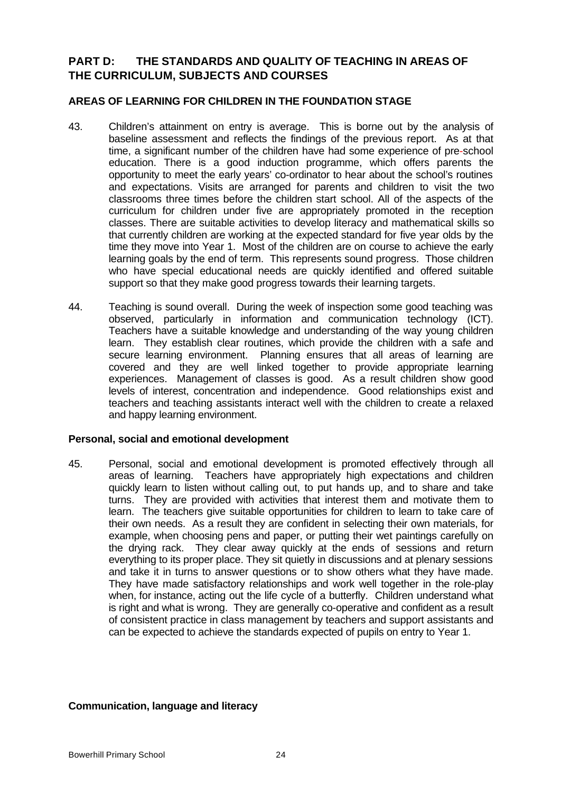# **PART D: THE STANDARDS AND QUALITY OF TEACHING IN AREAS OF THE CURRICULUM, SUBJECTS AND COURSES**

#### **AREAS OF LEARNING FOR CHILDREN IN THE FOUNDATION STAGE**

- 43. Children's attainment on entry is average. This is borne out by the analysis of baseline assessment and reflects the findings of the previous report. As at that time, a significant number of the children have had some experience of pre-school education. There is a good induction programme, which offers parents the opportunity to meet the early years' co-ordinator to hear about the school's routines and expectations. Visits are arranged for parents and children to visit the two classrooms three times before the children start school. All of the aspects of the curriculum for children under five are appropriately promoted in the reception classes. There are suitable activities to develop literacy and mathematical skills so that currently children are working at the expected standard for five year olds by the time they move into Year 1. Most of the children are on course to achieve the early learning goals by the end of term. This represents sound progress. Those children who have special educational needs are quickly identified and offered suitable support so that they make good progress towards their learning targets.
- 44. Teaching is sound overall. During the week of inspection some good teaching was observed, particularly in information and communication technology (ICT). Teachers have a suitable knowledge and understanding of the way young children learn. They establish clear routines, which provide the children with a safe and secure learning environment. Planning ensures that all areas of learning are covered and they are well linked together to provide appropriate learning experiences. Management of classes is good. As a result children show good levels of interest, concentration and independence. Good relationships exist and teachers and teaching assistants interact well with the children to create a relaxed and happy learning environment.

#### **Personal, social and emotional development**

45. Personal, social and emotional development is promoted effectively through all areas of learning. Teachers have appropriately high expectations and children quickly learn to listen without calling out, to put hands up, and to share and take turns. They are provided with activities that interest them and motivate them to learn. The teachers give suitable opportunities for children to learn to take care of their own needs. As a result they are confident in selecting their own materials, for example, when choosing pens and paper, or putting their wet paintings carefully on the drying rack. They clear away quickly at the ends of sessions and return everything to its proper place. They sit quietly in discussions and at plenary sessions and take it in turns to answer questions or to show others what they have made. They have made satisfactory relationships and work well together in the role-play when, for instance, acting out the life cycle of a butterfly. Children understand what is right and what is wrong. They are generally co-operative and confident as a result of consistent practice in class management by teachers and support assistants and can be expected to achieve the standards expected of pupils on entry to Year 1.

#### **Communication, language and literacy**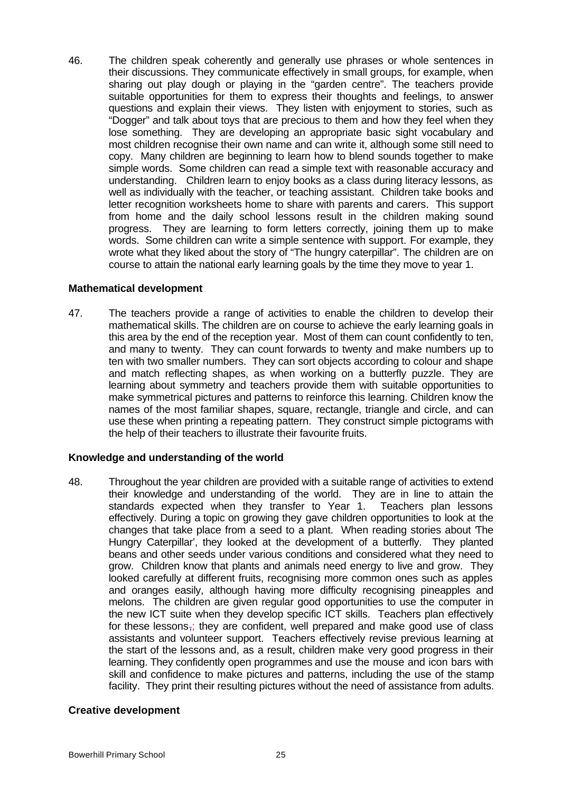46. The children speak coherently and generally use phrases or whole sentences in their discussions. They communicate effectively in small groups, for example, when sharing out play dough or playing in the "garden centre". The teachers provide suitable opportunities for them to express their thoughts and feelings, to answer questions and explain their views. They listen with enjoyment to stories, such as "Dogger" and talk about toys that are precious to them and how they feel when they lose something. They are developing an appropriate basic sight vocabulary and most children recognise their own name and can write it, although some still need to copy. Many children are beginning to learn how to blend sounds together to make simple words. Some children can read a simple text with reasonable accuracy and understanding. Children learn to enjoy books as a class during literacy lessons, as well as individually with the teacher, or teaching assistant. Children take books and letter recognition worksheets home to share with parents and carers. This support from home and the daily school lessons result in the children making sound progress. They are learning to form letters correctly, joining them up to make words. Some children can write a simple sentence with support. For example, they wrote what they liked about the story of "The hungry caterpillar". The children are on course to attain the national early learning goals by the time they move to year 1.

#### **Mathematical development**

47. The teachers provide a range of activities to enable the children to develop their mathematical skills. The children are on course to achieve the early learning goals in this area by the end of the reception year. Most of them can count confidently to ten, and many to twenty. They can count forwards to twenty and make numbers up to ten with two smaller numbers. They can sort objects according to colour and shape and match reflecting shapes, as when working on a butterfly puzzle. They are learning about symmetry and teachers provide them with suitable opportunities to make symmetrical pictures and patterns to reinforce this learning. Children know the names of the most familiar shapes, square, rectangle, triangle and circle, and can use these when printing a repeating pattern. They construct simple pictograms with the help of their teachers to illustrate their favourite fruits.

#### **Knowledge and understanding of the world**

48. Throughout the year children are provided with a suitable range of activities to extend their knowledge and understanding of the world. They are in line to attain the standards expected when they transfer to Year 1. Teachers plan lessons effectively. During a topic on growing they gave children opportunities to look at the changes that take place from a seed to a plant. When reading stories about 'The Hungry Caterpillar', they looked at the development of a butterfly. They planted beans and other seeds under various conditions and considered what they need to grow. Children know that plants and animals need energy to live and grow. They looked carefully at different fruits, recognising more common ones such as apples and oranges easily, although having more difficulty recognising pineapples and melons. The children are given regular good opportunities to use the computer in the new ICT suite when they develop specific ICT skills. Teachers plan effectively for these lessons $\frac{1}{2}$ ; they are confident, well prepared and make good use of class assistants and volunteer support. Teachers effectively revise previous learning at the start of the lessons and, as a result, children make very good progress in their learning. They confidently open programmes and use the mouse and icon bars with skill and confidence to make pictures and patterns, including the use of the stamp facility. They print their resulting pictures without the need of assistance from adults.

#### **Creative development**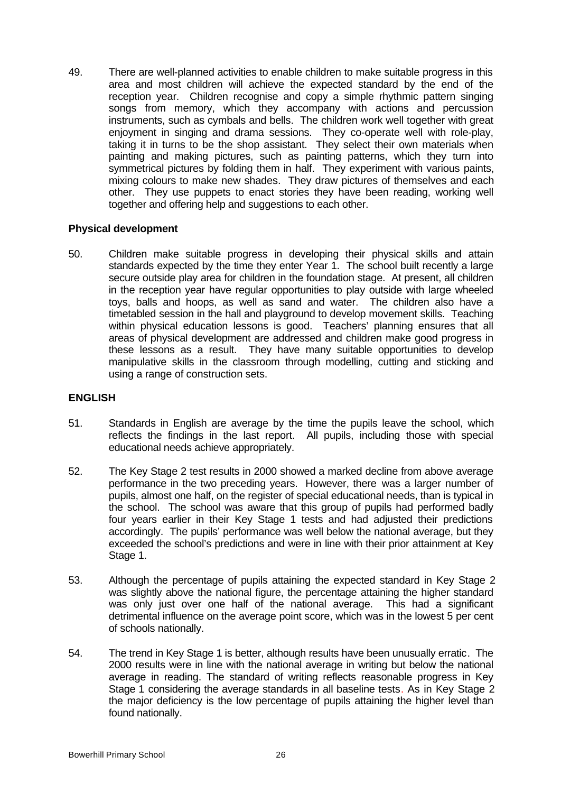49. There are well-planned activities to enable children to make suitable progress in this area and most children will achieve the expected standard by the end of the reception year. Children recognise and copy a simple rhythmic pattern singing songs from memory, which they accompany with actions and percussion instruments, such as cymbals and bells. The children work well together with great enjoyment in singing and drama sessions. They co-operate well with role-play, taking it in turns to be the shop assistant. They select their own materials when painting and making pictures, such as painting patterns, which they turn into symmetrical pictures by folding them in half. They experiment with various paints, mixing colours to make new shades. They draw pictures of themselves and each other. They use puppets to enact stories they have been reading, working well together and offering help and suggestions to each other.

#### **Physical development**

50. Children make suitable progress in developing their physical skills and attain standards expected by the time they enter Year 1. The school built recently a large secure outside play area for children in the foundation stage. At present, all children in the reception year have regular opportunities to play outside with large wheeled toys, balls and hoops, as well as sand and water. The children also have a timetabled session in the hall and playground to develop movement skills. Teaching within physical education lessons is good. Teachers' planning ensures that all areas of physical development are addressed and children make good progress in these lessons as a result. They have many suitable opportunities to develop manipulative skills in the classroom through modelling, cutting and sticking and using a range of construction sets.

## **ENGLISH**

- 51. Standards in English are average by the time the pupils leave the school, which reflects the findings in the last report. All pupils, including those with special educational needs achieve appropriately.
- 52. The Key Stage 2 test results in 2000 showed a marked decline from above average performance in the two preceding years. However, there was a larger number of pupils, almost one half, on the register of special educational needs, than is typical in the school. The school was aware that this group of pupils had performed badly four years earlier in their Key Stage 1 tests and had adjusted their predictions accordingly. The pupils' performance was well below the national average, but they exceeded the school's predictions and were in line with their prior attainment at Key Stage 1.
- 53. Although the percentage of pupils attaining the expected standard in Key Stage 2 was slightly above the national figure, the percentage attaining the higher standard was only just over one half of the national average. This had a significant detrimental influence on the average point score, which was in the lowest 5 per cent of schools nationally.
- 54. The trend in Key Stage 1 is better, although results have been unusually erratic. The 2000 results were in line with the national average in writing but below the national average in reading. The standard of writing reflects reasonable progress in Key Stage 1 considering the average standards in all baseline tests. As in Key Stage 2 the major deficiency is the low percentage of pupils attaining the higher level than found nationally.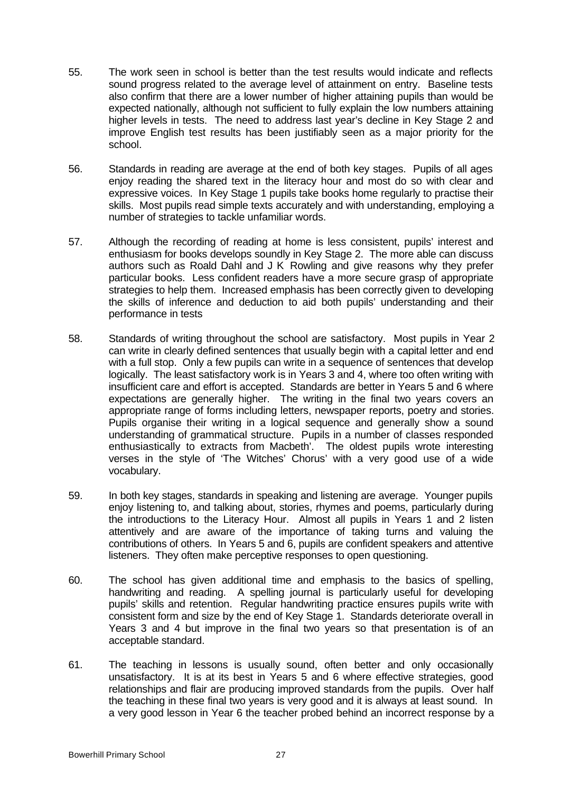- 55. The work seen in school is better than the test results would indicate and reflects sound progress related to the average level of attainment on entry. Baseline tests also confirm that there are a lower number of higher attaining pupils than would be expected nationally, although not sufficient to fully explain the low numbers attaining higher levels in tests. The need to address last year's decline in Key Stage 2 and improve English test results has been justifiably seen as a major priority for the school.
- 56. Standards in reading are average at the end of both key stages. Pupils of all ages enjoy reading the shared text in the literacy hour and most do so with clear and expressive voices. In Key Stage 1 pupils take books home regularly to practise their skills. Most pupils read simple texts accurately and with understanding, employing a number of strategies to tackle unfamiliar words.
- 57. Although the recording of reading at home is less consistent, pupils' interest and enthusiasm for books develops soundly in Key Stage 2. The more able can discuss authors such as Roald Dahl and J K Rowling and give reasons why they prefer particular books. Less confident readers have a more secure grasp of appropriate strategies to help them. Increased emphasis has been correctly given to developing the skills of inference and deduction to aid both pupils' understanding and their performance in tests
- 58. Standards of writing throughout the school are satisfactory. Most pupils in Year 2 can write in clearly defined sentences that usually begin with a capital letter and end with a full stop. Only a few pupils can write in a sequence of sentences that develop logically. The least satisfactory work is in Years 3 and 4, where too often writing with insufficient care and effort is accepted. Standards are better in Years 5 and 6 where expectations are generally higher. The writing in the final two years covers an appropriate range of forms including letters, newspaper reports, poetry and stories. Pupils organise their writing in a logical sequence and generally show a sound understanding of grammatical structure. Pupils in a number of classes responded enthusiastically to extracts from Macbeth'. The oldest pupils wrote interesting verses in the style of 'The Witches' Chorus' with a very good use of a wide vocabulary.
- 59. In both key stages, standards in speaking and listening are average. Younger pupils enjoy listening to, and talking about, stories, rhymes and poems, particularly during the introductions to the Literacy Hour. Almost all pupils in Years 1 and 2 listen attentively and are aware of the importance of taking turns and valuing the contributions of others. In Years 5 and 6, pupils are confident speakers and attentive listeners. They often make perceptive responses to open questioning.
- 60. The school has given additional time and emphasis to the basics of spelling, handwriting and reading. A spelling journal is particularly useful for developing pupils' skills and retention. Regular handwriting practice ensures pupils write with consistent form and size by the end of Key Stage 1. Standards deteriorate overall in Years 3 and 4 but improve in the final two years so that presentation is of an acceptable standard.
- 61. The teaching in lessons is usually sound, often better and only occasionally unsatisfactory. It is at its best in Years 5 and 6 where effective strategies, good relationships and flair are producing improved standards from the pupils. Over half the teaching in these final two years is very good and it is always at least sound. In a very good lesson in Year 6 the teacher probed behind an incorrect response by a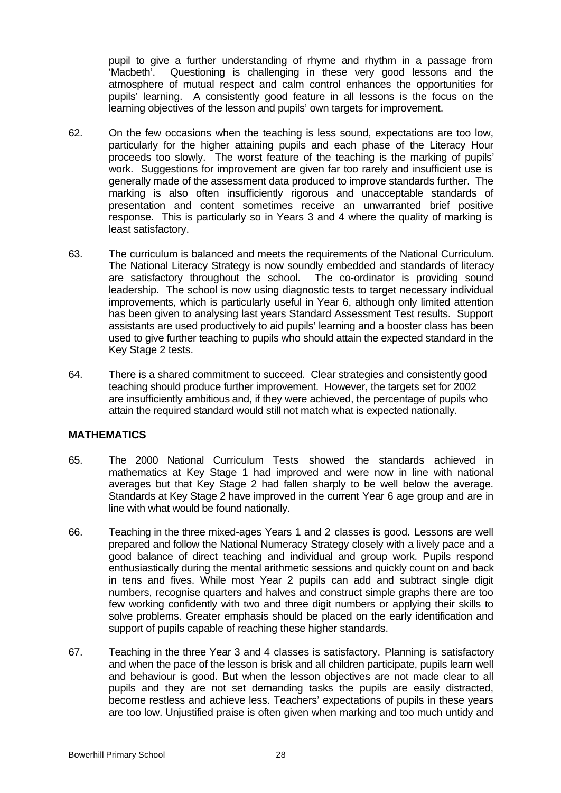pupil to give a further understanding of rhyme and rhythm in a passage from 'Macbeth'. Questioning is challenging in these very good lessons and the atmosphere of mutual respect and calm control enhances the opportunities for pupils' learning. A consistently good feature in all lessons is the focus on the learning objectives of the lesson and pupils' own targets for improvement.

- 62. On the few occasions when the teaching is less sound, expectations are too low, particularly for the higher attaining pupils and each phase of the Literacy Hour proceeds too slowly. The worst feature of the teaching is the marking of pupils' work. Suggestions for improvement are given far too rarely and insufficient use is generally made of the assessment data produced to improve standards further. The marking is also often insufficiently rigorous and unacceptable standards of presentation and content sometimes receive an unwarranted brief positive response. This is particularly so in Years 3 and 4 where the quality of marking is least satisfactory.
- 63. The curriculum is balanced and meets the requirements of the National Curriculum. The National Literacy Strategy is now soundly embedded and standards of literacy are satisfactory throughout the school. The co-ordinator is providing sound leadership. The school is now using diagnostic tests to target necessary individual improvements, which is particularly useful in Year 6, although only limited attention has been given to analysing last years Standard Assessment Test results. Support assistants are used productively to aid pupils' learning and a booster class has been used to give further teaching to pupils who should attain the expected standard in the Key Stage 2 tests.
- 64. There is a shared commitment to succeed. Clear strategies and consistently good teaching should produce further improvement. However, the targets set for 2002 are insufficiently ambitious and, if they were achieved, the percentage of pupils who attain the required standard would still not match what is expected nationally.

#### **MATHEMATICS**

- 65. The 2000 National Curriculum Tests showed the standards achieved in mathematics at Key Stage 1 had improved and were now in line with national averages but that Key Stage 2 had fallen sharply to be well below the average. Standards at Key Stage 2 have improved in the current Year 6 age group and are in line with what would be found nationally.
- 66. Teaching in the three mixed-ages Years 1 and 2 classes is good. Lessons are well prepared and follow the National Numeracy Strategy closely with a lively pace and a good balance of direct teaching and individual and group work. Pupils respond enthusiastically during the mental arithmetic sessions and quickly count on and back in tens and fives. While most Year 2 pupils can add and subtract single digit numbers, recognise quarters and halves and construct simple graphs there are too few working confidently with two and three digit numbers or applying their skills to solve problems. Greater emphasis should be placed on the early identification and support of pupils capable of reaching these higher standards.
- 67. Teaching in the three Year 3 and 4 classes is satisfactory. Planning is satisfactory and when the pace of the lesson is brisk and all children participate, pupils learn well and behaviour is good. But when the lesson objectives are not made clear to all pupils and they are not set demanding tasks the pupils are easily distracted, become restless and achieve less. Teachers' expectations of pupils in these years are too low. Unjustified praise is often given when marking and too much untidy and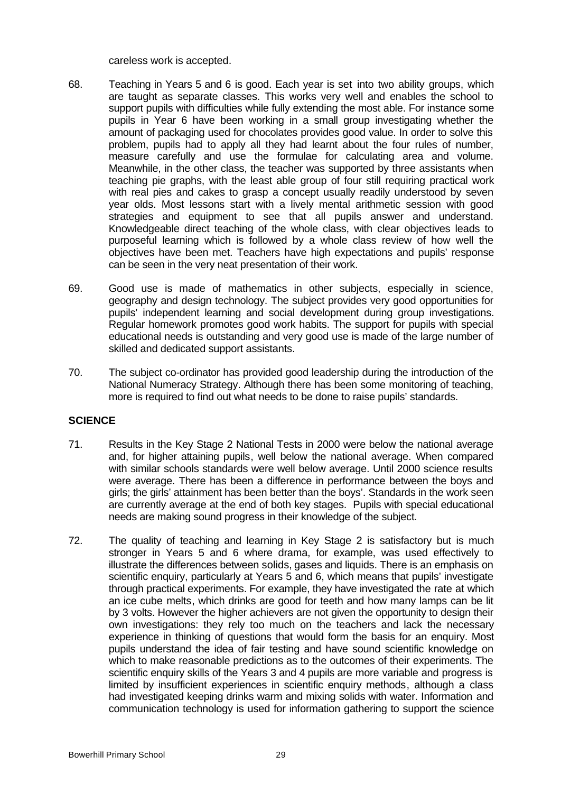careless work is accepted.

- 68. Teaching in Years 5 and 6 is good. Each year is set into two ability groups, which are taught as separate classes. This works very well and enables the school to support pupils with difficulties while fully extending the most able. For instance some pupils in Year 6 have been working in a small group investigating whether the amount of packaging used for chocolates provides good value. In order to solve this problem, pupils had to apply all they had learnt about the four rules of number, measure carefully and use the formulae for calculating area and volume. Meanwhile, in the other class, the teacher was supported by three assistants when teaching pie graphs, with the least able group of four still requiring practical work with real pies and cakes to grasp a concept usually readily understood by seven year olds. Most lessons start with a lively mental arithmetic session with good strategies and equipment to see that all pupils answer and understand. Knowledgeable direct teaching of the whole class, with clear objectives leads to purposeful learning which is followed by a whole class review of how well the objectives have been met. Teachers have high expectations and pupils' response can be seen in the very neat presentation of their work.
- 69. Good use is made of mathematics in other subjects, especially in science, geography and design technology. The subject provides very good opportunities for pupils' independent learning and social development during group investigations. Regular homework promotes good work habits. The support for pupils with special educational needs is outstanding and very good use is made of the large number of skilled and dedicated support assistants.
- 70. The subject co-ordinator has provided good leadership during the introduction of the National Numeracy Strategy. Although there has been some monitoring of teaching, more is required to find out what needs to be done to raise pupils' standards.

#### **SCIENCE**

- 71. Results in the Key Stage 2 National Tests in 2000 were below the national average and, for higher attaining pupils, well below the national average. When compared with similar schools standards were well below average. Until 2000 science results were average. There has been a difference in performance between the boys and girls; the girls' attainment has been better than the boys'. Standards in the work seen are currently average at the end of both key stages. Pupils with special educational needs are making sound progress in their knowledge of the subject.
- 72. The quality of teaching and learning in Key Stage 2 is satisfactory but is much stronger in Years 5 and 6 where drama, for example, was used effectively to illustrate the differences between solids, gases and liquids. There is an emphasis on scientific enquiry, particularly at Years 5 and 6, which means that pupils' investigate through practical experiments. For example, they have investigated the rate at which an ice cube melts, which drinks are good for teeth and how many lamps can be lit by 3 volts. However the higher achievers are not given the opportunity to design their own investigations: they rely too much on the teachers and lack the necessary experience in thinking of questions that would form the basis for an enquiry. Most pupils understand the idea of fair testing and have sound scientific knowledge on which to make reasonable predictions as to the outcomes of their experiments. The scientific enquiry skills of the Years 3 and 4 pupils are more variable and progress is limited by insufficient experiences in scientific enquiry methods, although a class had investigated keeping drinks warm and mixing solids with water. Information and communication technology is used for information gathering to support the science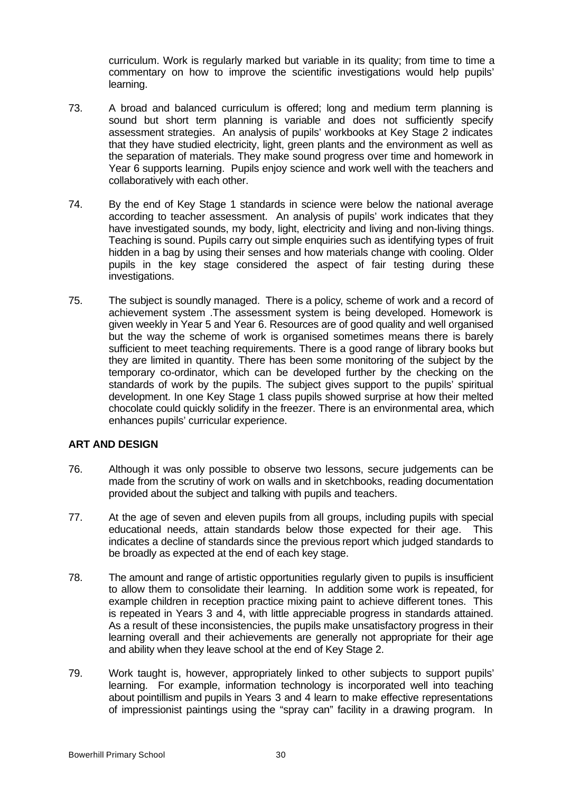curriculum. Work is regularly marked but variable in its quality; from time to time a commentary on how to improve the scientific investigations would help pupils' learning.

- 73. A broad and balanced curriculum is offered; long and medium term planning is sound but short term planning is variable and does not sufficiently specify assessment strategies. An analysis of pupils' workbooks at Key Stage 2 indicates that they have studied electricity, light, green plants and the environment as well as the separation of materials. They make sound progress over time and homework in Year 6 supports learning. Pupils enjoy science and work well with the teachers and collaboratively with each other.
- 74. By the end of Key Stage 1 standards in science were below the national average according to teacher assessment. An analysis of pupils' work indicates that they have investigated sounds, my body, light, electricity and living and non-living things. Teaching is sound. Pupils carry out simple enquiries such as identifying types of fruit hidden in a bag by using their senses and how materials change with cooling. Older pupils in the key stage considered the aspect of fair testing during these investigations.
- 75. The subject is soundly managed. There is a policy, scheme of work and a record of achievement system .The assessment system is being developed. Homework is given weekly in Year 5 and Year 6. Resources are of good quality and well organised but the way the scheme of work is organised sometimes means there is barely sufficient to meet teaching requirements. There is a good range of library books but they are limited in quantity. There has been some monitoring of the subject by the temporary co-ordinator, which can be developed further by the checking on the standards of work by the pupils. The subject gives support to the pupils' spiritual development. In one Key Stage 1 class pupils showed surprise at how their melted chocolate could quickly solidify in the freezer. There is an environmental area, which enhances pupils' curricular experience.

#### **ART AND DESIGN**

- 76. Although it was only possible to observe two lessons, secure judgements can be made from the scrutiny of work on walls and in sketchbooks, reading documentation provided about the subject and talking with pupils and teachers.
- 77. At the age of seven and eleven pupils from all groups, including pupils with special educational needs, attain standards below those expected for their age. This indicates a decline of standards since the previous report which judged standards to be broadly as expected at the end of each key stage.
- 78. The amount and range of artistic opportunities regularly given to pupils is insufficient to allow them to consolidate their learning. In addition some work is repeated, for example children in reception practice mixing paint to achieve different tones. This is repeated in Years 3 and 4, with little appreciable progress in standards attained. As a result of these inconsistencies, the pupils make unsatisfactory progress in their learning overall and their achievements are generally not appropriate for their age and ability when they leave school at the end of Key Stage 2.
- 79. Work taught is, however, appropriately linked to other subjects to support pupils' learning. For example, information technology is incorporated well into teaching about pointillism and pupils in Years 3 and 4 learn to make effective representations of impressionist paintings using the "spray can" facility in a drawing program. In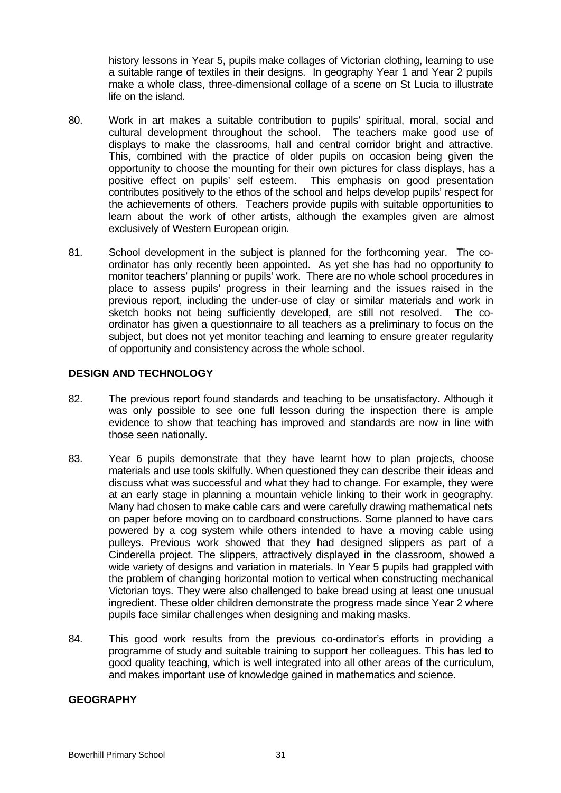history lessons in Year 5, pupils make collages of Victorian clothing, learning to use a suitable range of textiles in their designs. In geography Year 1 and Year 2 pupils make a whole class, three-dimensional collage of a scene on St Lucia to illustrate life on the island.

- 80. Work in art makes a suitable contribution to pupils' spiritual, moral, social and cultural development throughout the school. The teachers make good use of displays to make the classrooms, hall and central corridor bright and attractive. This, combined with the practice of older pupils on occasion being given the opportunity to choose the mounting for their own pictures for class displays, has a positive effect on pupils' self esteem. This emphasis on good presentation contributes positively to the ethos of the school and helps develop pupils' respect for the achievements of others. Teachers provide pupils with suitable opportunities to learn about the work of other artists, although the examples given are almost exclusively of Western European origin.
- 81. School development in the subject is planned for the forthcoming year. The coordinator has only recently been appointed. As yet she has had no opportunity to monitor teachers' planning or pupils' work. There are no whole school procedures in place to assess pupils' progress in their learning and the issues raised in the previous report, including the under-use of clay or similar materials and work in sketch books not being sufficiently developed, are still not resolved. The coordinator has given a questionnaire to all teachers as a preliminary to focus on the subject, but does not yet monitor teaching and learning to ensure greater regularity of opportunity and consistency across the whole school.

#### **DESIGN AND TECHNOLOGY**

- 82. The previous report found standards and teaching to be unsatisfactory. Although it was only possible to see one full lesson during the inspection there is ample evidence to show that teaching has improved and standards are now in line with those seen nationally.
- 83. Year 6 pupils demonstrate that they have learnt how to plan projects, choose materials and use tools skilfully. When questioned they can describe their ideas and discuss what was successful and what they had to change. For example, they were at an early stage in planning a mountain vehicle linking to their work in geography. Many had chosen to make cable cars and were carefully drawing mathematical nets on paper before moving on to cardboard constructions. Some planned to have cars powered by a cog system while others intended to have a moving cable using pulleys. Previous work showed that they had designed slippers as part of a Cinderella project. The slippers, attractively displayed in the classroom, showed a wide variety of designs and variation in materials. In Year 5 pupils had grappled with the problem of changing horizontal motion to vertical when constructing mechanical Victorian toys. They were also challenged to bake bread using at least one unusual ingredient. These older children demonstrate the progress made since Year 2 where pupils face similar challenges when designing and making masks.
- 84. This good work results from the previous co-ordinator's efforts in providing a programme of study and suitable training to support her colleagues. This has led to good quality teaching, which is well integrated into all other areas of the curriculum, and makes important use of knowledge gained in mathematics and science.

#### **GEOGRAPHY**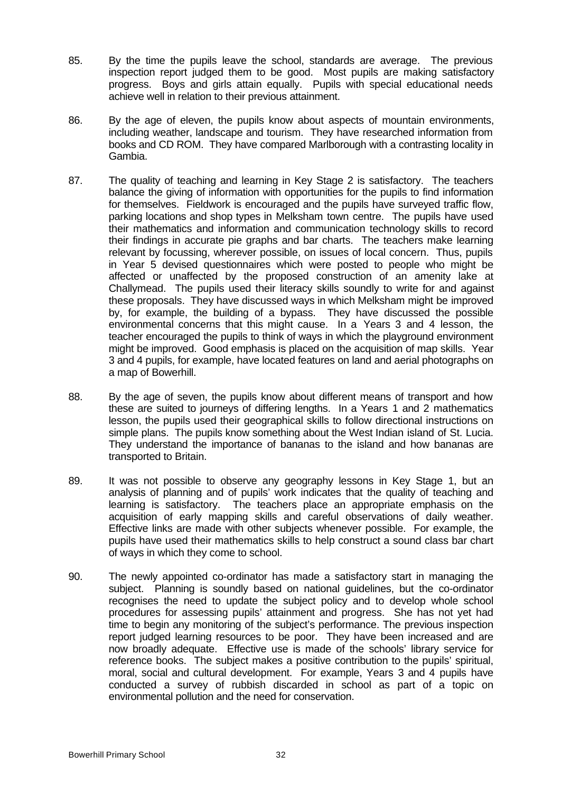- 85. By the time the pupils leave the school, standards are average. The previous inspection report judged them to be good. Most pupils are making satisfactory progress. Boys and girls attain equally. Pupils with special educational needs achieve well in relation to their previous attainment.
- 86. By the age of eleven, the pupils know about aspects of mountain environments, including weather, landscape and tourism. They have researched information from books and CD ROM. They have compared Marlborough with a contrasting locality in Gambia.
- 87. The quality of teaching and learning in Key Stage 2 is satisfactory. The teachers balance the giving of information with opportunities for the pupils to find information for themselves. Fieldwork is encouraged and the pupils have surveyed traffic flow, parking locations and shop types in Melksham town centre. The pupils have used their mathematics and information and communication technology skills to record their findings in accurate pie graphs and bar charts. The teachers make learning relevant by focussing, wherever possible, on issues of local concern. Thus, pupils in Year 5 devised questionnaires which were posted to people who might be affected or unaffected by the proposed construction of an amenity lake at Challymead. The pupils used their literacy skills soundly to write for and against these proposals. They have discussed ways in which Melksham might be improved by, for example, the building of a bypass. They have discussed the possible environmental concerns that this might cause. In a Years 3 and 4 lesson, the teacher encouraged the pupils to think of ways in which the playground environment might be improved. Good emphasis is placed on the acquisition of map skills. Year 3 and 4 pupils, for example, have located features on land and aerial photographs on a map of Bowerhill.
- 88. By the age of seven, the pupils know about different means of transport and how these are suited to journeys of differing lengths. In a Years 1 and 2 mathematics lesson, the pupils used their geographical skills to follow directional instructions on simple plans. The pupils know something about the West Indian island of St. Lucia. They understand the importance of bananas to the island and how bananas are transported to Britain.
- 89. It was not possible to observe any geography lessons in Key Stage 1, but an analysis of planning and of pupils' work indicates that the quality of teaching and learning is satisfactory. The teachers place an appropriate emphasis on the acquisition of early mapping skills and careful observations of daily weather. Effective links are made with other subjects whenever possible. For example, the pupils have used their mathematics skills to help construct a sound class bar chart of ways in which they come to school.
- 90. The newly appointed co-ordinator has made a satisfactory start in managing the subject. Planning is soundly based on national guidelines, but the co-ordinator recognises the need to update the subject policy and to develop whole school procedures for assessing pupils' attainment and progress. She has not yet had time to begin any monitoring of the subject's performance. The previous inspection report judged learning resources to be poor. They have been increased and are now broadly adequate. Effective use is made of the schools' library service for reference books. The subject makes a positive contribution to the pupils' spiritual, moral, social and cultural development. For example, Years 3 and 4 pupils have conducted a survey of rubbish discarded in school as part of a topic on environmental pollution and the need for conservation.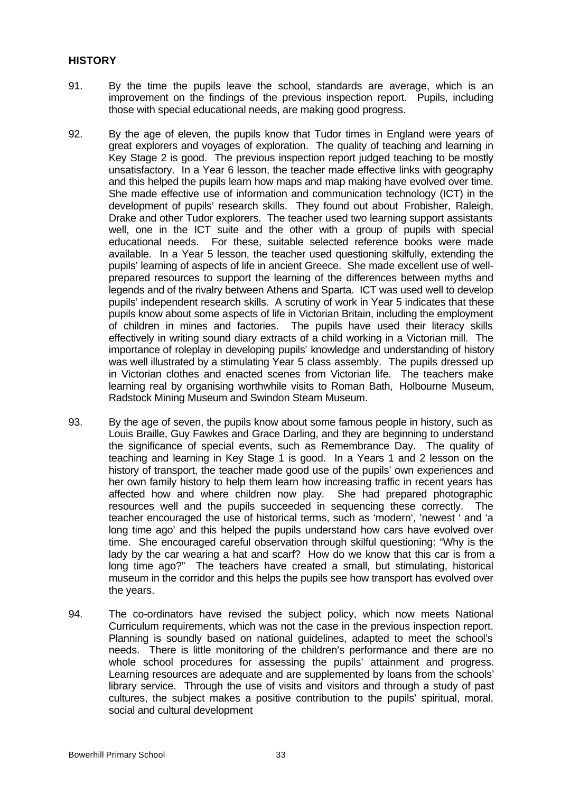#### **HISTORY**

- 91. By the time the pupils leave the school, standards are average, which is an improvement on the findings of the previous inspection report. Pupils, including those with special educational needs, are making good progress.
- 92. By the age of eleven, the pupils know that Tudor times in England were years of great explorers and voyages of exploration. The quality of teaching and learning in Key Stage 2 is good. The previous inspection report judged teaching to be mostly unsatisfactory. In a Year 6 lesson, the teacher made effective links with geography and this helped the pupils learn how maps and map making have evolved over time. She made effective use of information and communication technology (ICT) in the development of pupils' research skills. They found out about Frobisher, Raleigh, Drake and other Tudor explorers. The teacher used two learning support assistants well, one in the ICT suite and the other with a group of pupils with special educational needs. For these, suitable selected reference books were made available. In a Year 5 lesson, the teacher used questioning skilfully, extending the pupils' learning of aspects of life in ancient Greece. She made excellent use of wellprepared resources to support the learning of the differences between myths and legends and of the rivalry between Athens and Sparta. ICT was used well to develop pupils' independent research skills. A scrutiny of work in Year 5 indicates that these pupils know about some aspects of life in Victorian Britain, including the employment of children in mines and factories. The pupils have used their literacy skills effectively in writing sound diary extracts of a child working in a Victorian mill. The importance of roleplay in developing pupils' knowledge and understanding of history was well illustrated by a stimulating Year 5 class assembly. The pupils dressed up in Victorian clothes and enacted scenes from Victorian life. The teachers make learning real by organising worthwhile visits to Roman Bath, Holbourne Museum, Radstock Mining Museum and Swindon Steam Museum.
- 93. By the age of seven, the pupils know about some famous people in history, such as Louis Braille, Guy Fawkes and Grace Darling, and they are beginning to understand the significance of special events, such as Remembrance Day. The quality of teaching and learning in Key Stage 1 is good. In a Years 1 and 2 lesson on the history of transport, the teacher made good use of the pupils' own experiences and her own family history to help them learn how increasing traffic in recent years has affected how and where children now play. She had prepared photographic resources well and the pupils succeeded in sequencing these correctly. The teacher encouraged the use of historical terms, such as 'modern', 'newest ' and 'a long time ago' and this helped the pupils understand how cars have evolved over time. She encouraged careful observation through skilful questioning: "Why is the lady by the car wearing a hat and scarf? How do we know that this car is from a long time ago?" The teachers have created a small, but stimulating, historical museum in the corridor and this helps the pupils see how transport has evolved over the years.
- 94. The co-ordinators have revised the subject policy, which now meets National Curriculum requirements, which was not the case in the previous inspection report. Planning is soundly based on national guidelines, adapted to meet the school's needs. There is little monitoring of the children's performance and there are no whole school procedures for assessing the pupils' attainment and progress. Learning resources are adequate and are supplemented by loans from the schools' library service. Through the use of visits and visitors and through a study of past cultures, the subject makes a positive contribution to the pupils' spiritual, moral, social and cultural development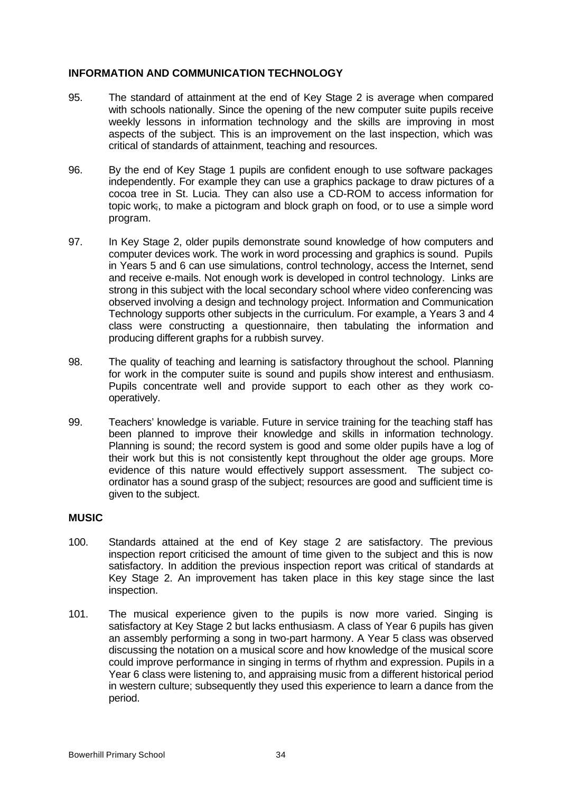## **INFORMATION AND COMMUNICATION TECHNOLOGY**

- 95. The standard of attainment at the end of Key Stage 2 is average when compared with schools nationally. Since the opening of the new computer suite pupils receive weekly lessons in information technology and the skills are improving in most aspects of the subject. This is an improvement on the last inspection, which was critical of standards of attainment, teaching and resources.
- 96. By the end of Key Stage 1 pupils are confident enough to use software packages independently. For example they can use a graphics package to draw pictures of a cocoa tree in St. Lucia. They can also use a CD-ROM to access information for topic work;, to make a pictogram and block graph on food, or to use a simple word program.
- 97. In Key Stage 2, older pupils demonstrate sound knowledge of how computers and computer devices work. The work in word processing and graphics is sound. Pupils in Years 5 and 6 can use simulations, control technology, access the Internet, send and receive e-mails. Not enough work is developed in control technology. Links are strong in this subject with the local secondary school where video conferencing was observed involving a design and technology project. Information and Communication Technology supports other subjects in the curriculum. For example, a Years 3 and 4 class were constructing a questionnaire, then tabulating the information and producing different graphs for a rubbish survey.
- 98. The quality of teaching and learning is satisfactory throughout the school. Planning for work in the computer suite is sound and pupils show interest and enthusiasm. Pupils concentrate well and provide support to each other as they work cooperatively.
- 99. Teachers' knowledge is variable. Future in service training for the teaching staff has been planned to improve their knowledge and skills in information technology. Planning is sound; the record system is good and some older pupils have a log of their work but this is not consistently kept throughout the older age groups. More evidence of this nature would effectively support assessment. The subject coordinator has a sound grasp of the subject; resources are good and sufficient time is given to the subject.

#### **MUSIC**

- 100. Standards attained at the end of Key stage 2 are satisfactory. The previous inspection report criticised the amount of time given to the subject and this is now satisfactory. In addition the previous inspection report was critical of standards at Key Stage 2. An improvement has taken place in this key stage since the last inspection.
- 101. The musical experience given to the pupils is now more varied. Singing is satisfactory at Key Stage 2 but lacks enthusiasm. A class of Year 6 pupils has given an assembly performing a song in two-part harmony. A Year 5 class was observed discussing the notation on a musical score and how knowledge of the musical score could improve performance in singing in terms of rhythm and expression. Pupils in a Year 6 class were listening to, and appraising music from a different historical period in western culture; subsequently they used this experience to learn a dance from the period.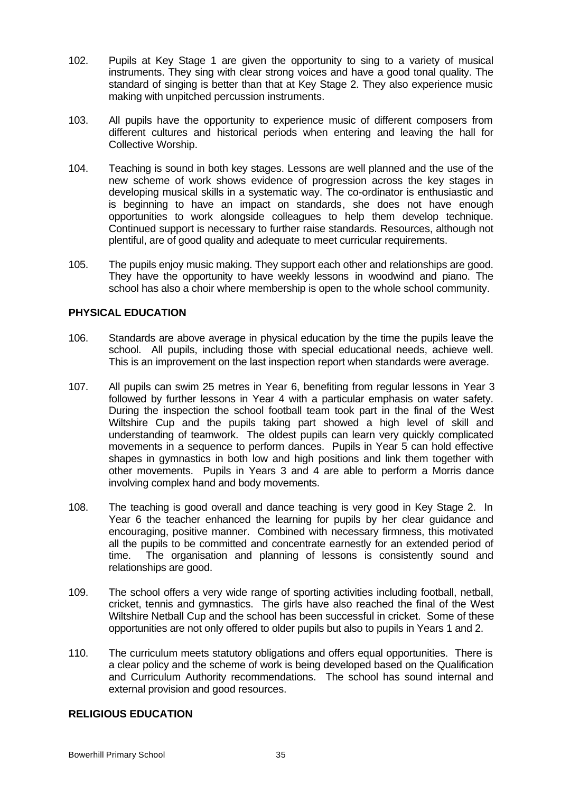- 102. Pupils at Key Stage 1 are given the opportunity to sing to a variety of musical instruments. They sing with clear strong voices and have a good tonal quality. The standard of singing is better than that at Key Stage 2. They also experience music making with unpitched percussion instruments.
- 103. All pupils have the opportunity to experience music of different composers from different cultures and historical periods when entering and leaving the hall for Collective Worship.
- 104. Teaching is sound in both key stages. Lessons are well planned and the use of the new scheme of work shows evidence of progression across the key stages in developing musical skills in a systematic way. The co-ordinator is enthusiastic and is beginning to have an impact on standards, she does not have enough opportunities to work alongside colleagues to help them develop technique. Continued support is necessary to further raise standards. Resources, although not plentiful, are of good quality and adequate to meet curricular requirements.
- 105. The pupils enjoy music making. They support each other and relationships are good. They have the opportunity to have weekly lessons in woodwind and piano. The school has also a choir where membership is open to the whole school community.

#### **PHYSICAL EDUCATION**

- 106. Standards are above average in physical education by the time the pupils leave the school. All pupils, including those with special educational needs, achieve well. This is an improvement on the last inspection report when standards were average.
- 107. All pupils can swim 25 metres in Year 6, benefiting from regular lessons in Year 3 followed by further lessons in Year 4 with a particular emphasis on water safety. During the inspection the school football team took part in the final of the West Wiltshire Cup and the pupils taking part showed a high level of skill and understanding of teamwork. The oldest pupils can learn very quickly complicated movements in a sequence to perform dances. Pupils in Year 5 can hold effective shapes in gymnastics in both low and high positions and link them together with other movements. Pupils in Years 3 and 4 are able to perform a Morris dance involving complex hand and body movements.
- 108. The teaching is good overall and dance teaching is very good in Key Stage 2. In Year 6 the teacher enhanced the learning for pupils by her clear guidance and encouraging, positive manner. Combined with necessary firmness, this motivated all the pupils to be committed and concentrate earnestly for an extended period of time. The organisation and planning of lessons is consistently sound and relationships are good.
- 109. The school offers a very wide range of sporting activities including football, netball, cricket, tennis and gymnastics. The girls have also reached the final of the West Wiltshire Netball Cup and the school has been successful in cricket. Some of these opportunities are not only offered to older pupils but also to pupils in Years 1 and 2.
- 110. The curriculum meets statutory obligations and offers equal opportunities. There is a clear policy and the scheme of work is being developed based on the Qualification and Curriculum Authority recommendations. The school has sound internal and external provision and good resources.

#### **RELIGIOUS EDUCATION**